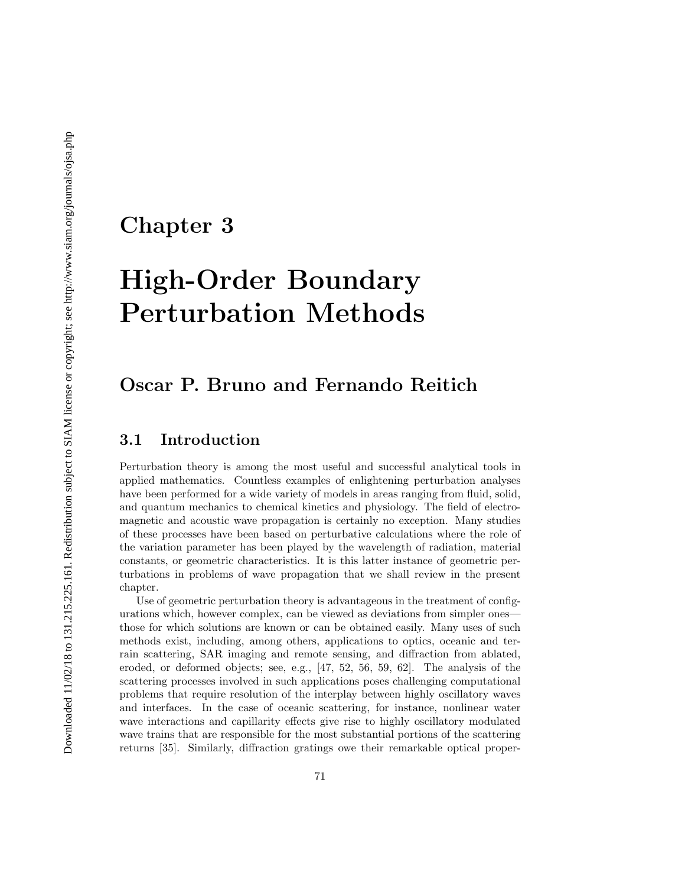# **Chapter 3**

# **High-Order Boundary Perturbation Methods**

# **Oscar P. Bruno and Fernando Reitich**

# **3.1 Introduction**

Perturbation theory is among the most useful and successful analytical tools in applied mathematics. Countless examples of enlightening perturbation analyses have been performed for a wide variety of models in areas ranging from fluid, solid, and quantum mechanics to chemical kinetics and physiology. The field of electromagnetic and acoustic wave propagation is certainly no exception. Many studies of these processes have been based on perturbative calculations where the role of the variation parameter has been played by the wavelength of radiation, material constants, or geometric characteristics. It is this latter instance of geometric perturbations in problems of wave propagation that we shall review in the present chapter.

Use of geometric perturbation theory is advantageous in the treatment of configurations which, however complex, can be viewed as deviations from simpler ones those for which solutions are known or can be obtained easily. Many uses of such methods exist, including, among others, applications to optics, oceanic and terrain scattering, SAR imaging and remote sensing, and diffraction from ablated, eroded, or deformed objects; see, e.g., [47, 52, 56, 59, 62]. The analysis of the scattering processes involved in such applications poses challenging computational problems that require resolution of the interplay between highly oscillatory waves and interfaces. In the case of oceanic scattering, for instance, nonlinear water wave interactions and capillarity effects give rise to highly oscillatory modulated wave trains that are responsible for the most substantial portions of the scattering returns [35]. Similarly, diffraction gratings owe their remarkable optical proper-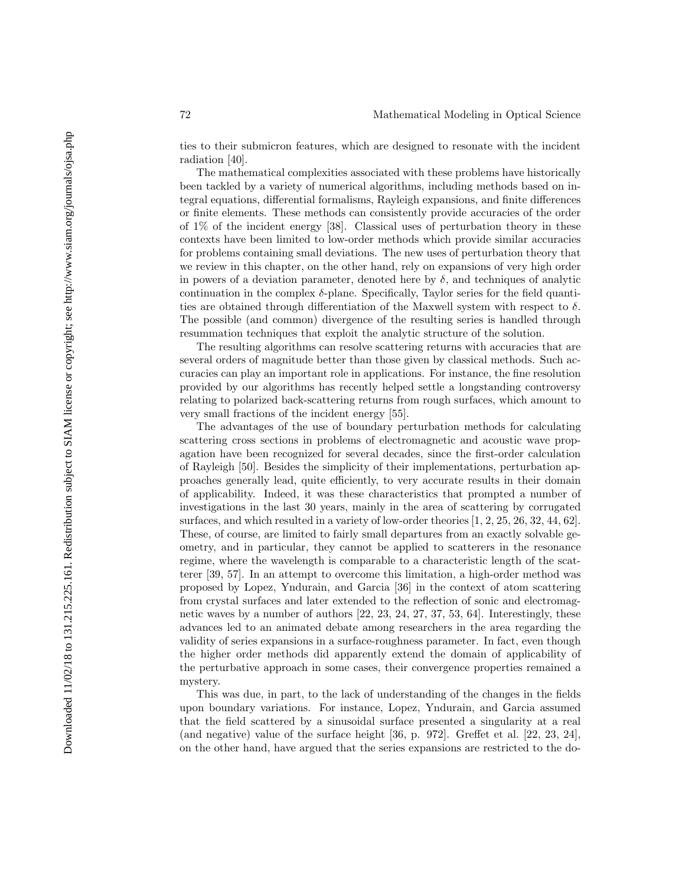ties to their submicron features, which are designed to resonate with the incident radiation [40].

The mathematical complexities associated with these problems have historically been tackled by a variety of numerical algorithms, including methods based on integral equations, differential formalisms, Rayleigh expansions, and finite differences or finite elements. These methods can consistently provide accuracies of the order of 1% of the incident energy [38]. Classical uses of perturbation theory in these contexts have been limited to low-order methods which provide similar accuracies for problems containing small deviations. The new uses of perturbation theory that we review in this chapter, on the other hand, rely on expansions of very high order in powers of a deviation parameter, denoted here by  $\delta$ , and techniques of analytic continuation in the complex  $\delta$ -plane. Specifically, Taylor series for the field quantities are obtained through differentiation of the Maxwell system with respect to  $\delta$ . The possible (and common) divergence of the resulting series is handled through resummation techniques that exploit the analytic structure of the solution.

The resulting algorithms can resolve scattering returns with accuracies that are several orders of magnitude better than those given by classical methods. Such accuracies can play an important role in applications. For instance, the fine resolution provided by our algorithms has recently helped settle a longstanding controversy relating to polarized back-scattering returns from rough surfaces, which amount to very small fractions of the incident energy [55].

The advantages of the use of boundary perturbation methods for calculating scattering cross sections in problems of electromagnetic and acoustic wave propagation have been recognized for several decades, since the first-order calculation of Rayleigh [50]. Besides the simplicity of their implementations, perturbation approaches generally lead, quite efficiently, to very accurate results in their domain of applicability. Indeed, it was these characteristics that prompted a number of investigations in the last 30 years, mainly in the area of scattering by corrugated surfaces, and which resulted in a variety of low-order theories [1, 2, 25, 26, 32, 44, 62]. These, of course, are limited to fairly small departures from an exactly solvable geometry, and in particular, they cannot be applied to scatterers in the resonance regime, where the wavelength is comparable to a characteristic length of the scatterer [39, 57]. In an attempt to overcome this limitation, a high-order method was proposed by Lopez, Yndurain, and Garcia [36] in the context of atom scattering from crystal surfaces and later extended to the reflection of sonic and electromagnetic waves by a number of authors [22, 23, 24, 27, 37, 53, 64]. Interestingly, these advances led to an animated debate among researchers in the area regarding the validity of series expansions in a surface-roughness parameter. In fact, even though the higher order methods did apparently extend the domain of applicability of the perturbative approach in some cases, their convergence properties remained a mystery.

This was due, in part, to the lack of understanding of the changes in the fields upon boundary variations. For instance, Lopez, Yndurain, and Garcia assumed that the field scattered by a sinusoidal surface presented a singularity at a real (and negative) value of the surface height [36, p. 972]. Greffet et al. [22, 23, 24], on the other hand, have argued that the series expansions are restricted to the do-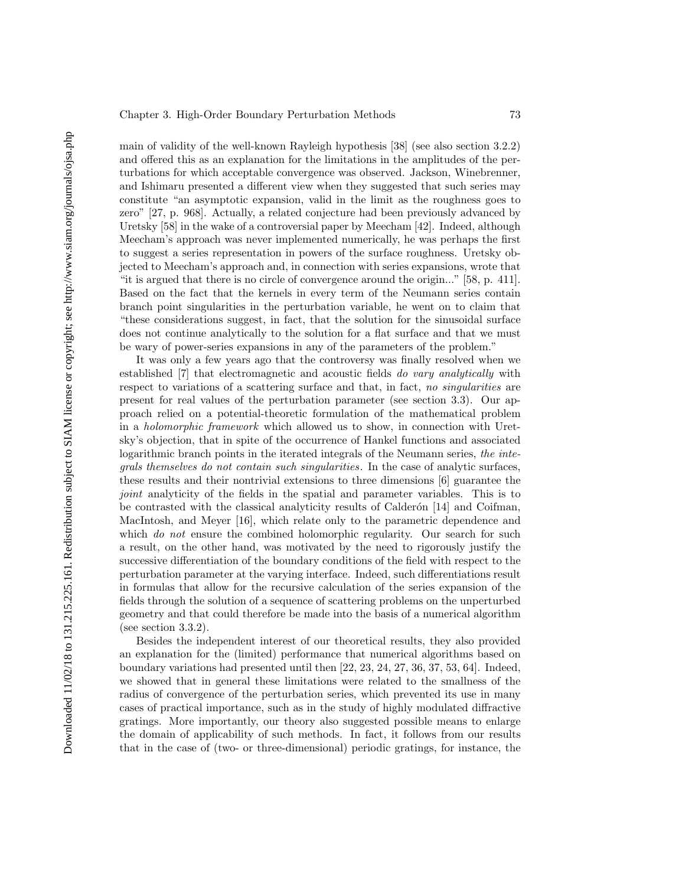main of validity of the well-known Rayleigh hypothesis [38] (see also section 3.2.2) and offered this as an explanation for the limitations in the amplitudes of the perturbations for which acceptable convergence was observed. Jackson, Winebrenner, and Ishimaru presented a different view when they suggested that such series may constitute "an asymptotic expansion, valid in the limit as the roughness goes to zero" [27, p. 968]. Actually, a related conjecture had been previously advanced by Uretsky [58] in the wake of a controversial paper by Meecham [42]. Indeed, although Meecham's approach was never implemented numerically, he was perhaps the first to suggest a series representation in powers of the surface roughness. Uretsky objected to Meecham's approach and, in connection with series expansions, wrote that "it is argued that there is no circle of convergence around the origin..." [58, p. 411]. Based on the fact that the kernels in every term of the Neumann series contain branch point singularities in the perturbation variable, he went on to claim that "these considerations suggest, in fact, that the solution for the sinusoidal surface does not continue analytically to the solution for a flat surface and that we must be wary of power-series expansions in any of the parameters of the problem."

It was only a few years ago that the controversy was finally resolved when we established [7] that electromagnetic and acoustic fields do vary analytically with respect to variations of a scattering surface and that, in fact, no *singularities* are present for real values of the perturbation parameter (see section 3.3). Our approach relied on a potential-theoretic formulation of the mathematical problem in a holomorphic framework which allowed us to show, in connection with Uretsky's objection, that in spite of the occurrence of Hankel functions and associated logarithmic branch points in the iterated integrals of the Neumann series, the integrals themselves do not contain such singularities. In the case of analytic surfaces, these results and their nontrivial extensions to three dimensions [6] guarantee the joint analyticity of the fields in the spatial and parameter variables. This is to be contrasted with the classical analyticity results of Calderón  $[14]$  and Coifman, MacIntosh, and Meyer [16], which relate only to the parametric dependence and which *do not* ensure the combined holomorphic regularity. Our search for such a result, on the other hand, was motivated by the need to rigorously justify the successive differentiation of the boundary conditions of the field with respect to the perturbation parameter at the varying interface. Indeed, such differentiations result in formulas that allow for the recursive calculation of the series expansion of the fields through the solution of a sequence of scattering problems on the unperturbed geometry and that could therefore be made into the basis of a numerical algorithm (see section 3.3.2).

Besides the independent interest of our theoretical results, they also provided an explanation for the (limited) performance that numerical algorithms based on boundary variations had presented until then [22, 23, 24, 27, 36, 37, 53, 64]. Indeed, we showed that in general these limitations were related to the smallness of the radius of convergence of the perturbation series, which prevented its use in many cases of practical importance, such as in the study of highly modulated diffractive gratings. More importantly, our theory also suggested possible means to enlarge the domain of applicability of such methods. In fact, it follows from our results that in the case of (two- or three-dimensional) periodic gratings, for instance, the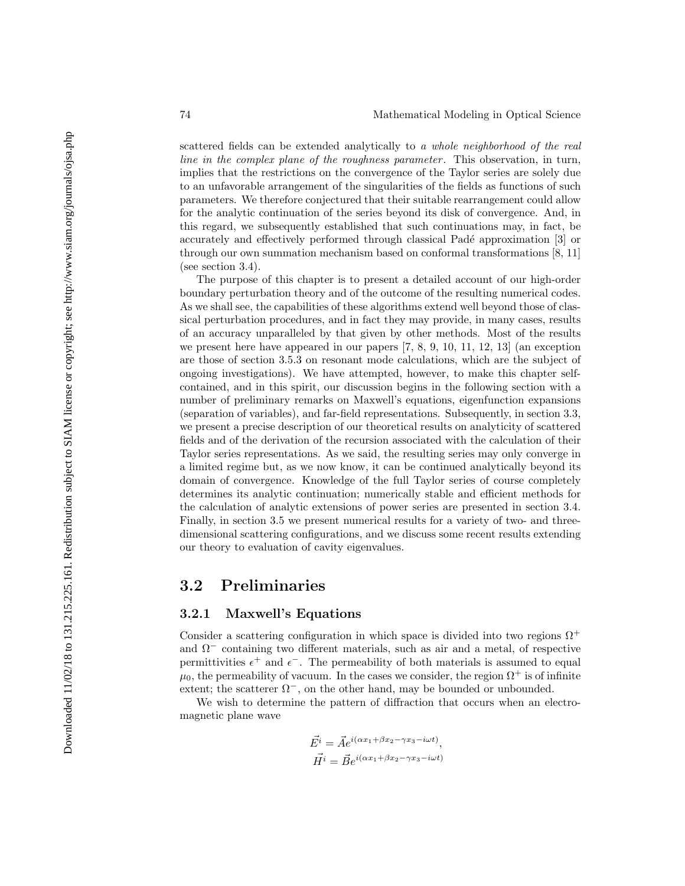scattered fields can be extended analytically to a whole neighborhood of the real line in the complex plane of the roughness parameter. This observation, in turn, implies that the restrictions on the convergence of the Taylor series are solely due to an unfavorable arrangement of the singularities of the fields as functions of such parameters. We therefore conjectured that their suitable rearrangement could allow for the analytic continuation of the series beyond its disk of convergence. And, in this regard, we subsequently established that such continuations may, in fact, be accurately and effectively performed through classical Padé approximation [3] or through our own summation mechanism based on conformal transformations [8, 11] (see section 3.4).

The purpose of this chapter is to present a detailed account of our high-order boundary perturbation theory and of the outcome of the resulting numerical codes. As we shall see, the capabilities of these algorithms extend well beyond those of classical perturbation procedures, and in fact they may provide, in many cases, results of an accuracy unparalleled by that given by other methods. Most of the results we present here have appeared in our papers [7, 8, 9, 10, 11, 12, 13] (an exception are those of section 3.5.3 on resonant mode calculations, which are the subject of ongoing investigations). We have attempted, however, to make this chapter selfcontained, and in this spirit, our discussion begins in the following section with a number of preliminary remarks on Maxwell's equations, eigenfunction expansions (separation of variables), and far-field representations. Subsequently, in section 3.3, we present a precise description of our theoretical results on analyticity of scattered fields and of the derivation of the recursion associated with the calculation of their Taylor series representations. As we said, the resulting series may only converge in a limited regime but, as we now know, it can be continued analytically beyond its domain of convergence. Knowledge of the full Taylor series of course completely determines its analytic continuation; numerically stable and efficient methods for the calculation of analytic extensions of power series are presented in section 3.4. Finally, in section 3.5 we present numerical results for a variety of two- and threedimensional scattering configurations, and we discuss some recent results extending our theory to evaluation of cavity eigenvalues.

## **3.2 Preliminaries**

#### **3.2.1 Maxwell's Equations**

Consider a scattering configuration in which space is divided into two regions  $\Omega^+$ and  $\Omega^-$  containing two different materials, such as air and a metal, of respective permittivities  $\epsilon^+$  and  $\epsilon^-$ . The permeability of both materials is assumed to equal  $\mu_0$ , the permeability of vacuum. In the cases we consider, the region  $\Omega^+$  is of infinite extent; the scatterer  $\Omega^-$ , on the other hand, may be bounded or unbounded.

We wish to determine the pattern of diffraction that occurs when an electromagnetic plane wave

$$
\vec{E}^i = \vec{A}e^{i(\alpha x_1 + \beta x_2 - \gamma x_3 - i\omega t)},
$$
  
\n
$$
\vec{H}^i = \vec{B}e^{i(\alpha x_1 + \beta x_2 - \gamma x_3 - i\omega t)}
$$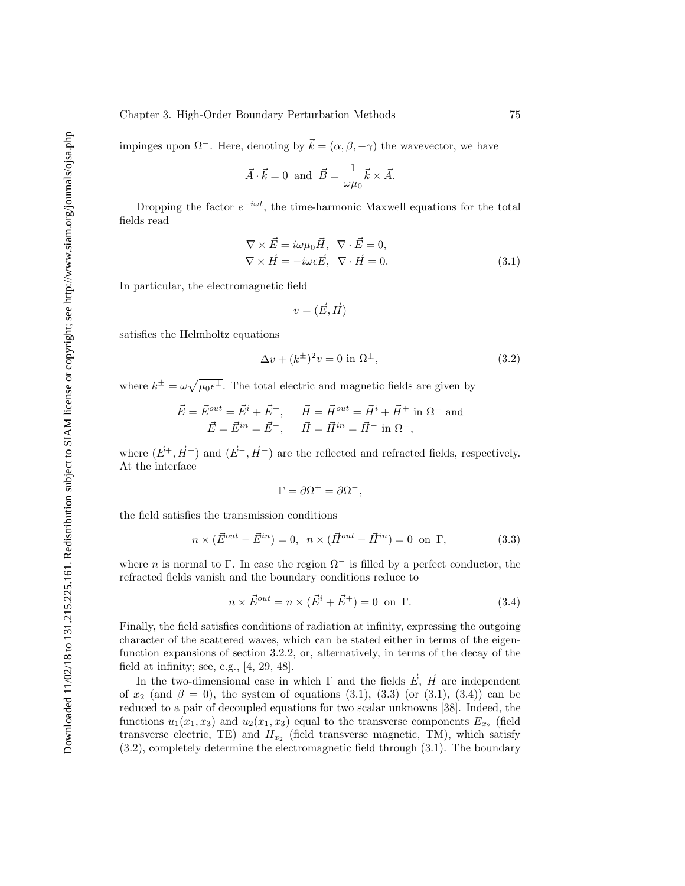#### Chapter 3. High-Order Boundary Perturbation Methods 75

impinges upon  $\Omega^-$ . Here, denoting by  $\vec{k} = (\alpha, \beta, -\gamma)$  the wavevector, we have

$$
\vec{A} \cdot \vec{k} = 0 \text{ and } \vec{B} = \frac{1}{\omega \mu_0} \vec{k} \times \vec{A}.
$$

Dropping the factor  $e^{-i\omega t}$ , the time-harmonic Maxwell equations for the total fields read

$$
\nabla \times \vec{E} = i\omega\mu_0 \vec{H}, \ \nabla \cdot \vec{E} = 0,\n\nabla \times \vec{H} = -i\omega\epsilon \vec{E}, \ \nabla \cdot \vec{H} = 0.
$$
\n(3.1)

In particular, the electromagnetic field

$$
v = (\vec{E}, \vec{H})
$$

satisfies the Helmholtz equations

$$
\Delta v + (k^{\pm})^2 v = 0 \text{ in } \Omega^{\pm}, \qquad (3.2)
$$

where  $k^{\pm} = \omega \sqrt{\mu_0 \epsilon^{\pm}}$ . The total electric and magnetic fields are given by

$$
\vec{E} = \vec{E}^{out} = \vec{E}^i + \vec{E}^+, \qquad \vec{H} = \vec{H}^{out} = \vec{H}^i + \vec{H}^+ \text{ in } \Omega^+ \text{ and}
$$

$$
\vec{E} = \vec{E}^{in} = \vec{E}^-, \qquad \vec{H} = \vec{H}^{in} = \vec{H}^- \text{ in } \Omega^-,
$$

where  $(\vec{E}^+, \vec{H}^+)$  and  $(\vec{E}^-, \vec{H}^-)$  are the reflected and refracted fields, respectively. At the interface

$$
\Gamma = \partial \Omega^+ = \partial \Omega^-,
$$

the field satisfies the transmission conditions

$$
n \times (\vec{E}^{out} - \vec{E}^{in}) = 0, \ \ n \times (\vec{H}^{out} - \vec{H}^{in}) = 0 \ \text{on } \Gamma,
$$
 (3.3)

where n is normal to Γ. In case the region  $\Omega^-$  is filled by a perfect conductor, the refracted fields vanish and the boundary conditions reduce to

$$
n \times \vec{E}^{out} = n \times (\vec{E}^i + \vec{E}^+) = 0 \text{ on } \Gamma.
$$
 (3.4)

Finally, the field satisfies conditions of radiation at infinity, expressing the outgoing character of the scattered waves, which can be stated either in terms of the eigenfunction expansions of section 3.2.2, or, alternatively, in terms of the decay of the field at infinity; see, e.g.,  $[4, 29, 48]$ .

In the two-dimensional case in which  $\Gamma$  and the fields  $\vec{E}$ ,  $\vec{H}$  are independent of  $x_2$  (and  $\beta = 0$ ), the system of equations (3.1), (3.3) (or (3.1), (3.4)) can be reduced to a pair of decoupled equations for two scalar unknowns [38]. Indeed, the functions  $u_1(x_1, x_3)$  and  $u_2(x_1, x_3)$  equal to the transverse components  $E_{x_2}$  (field transverse electric, TE) and  $H_{x_2}$  (field transverse magnetic, TM), which satisfy (3.2), completely determine the electromagnetic field through (3.1). The boundary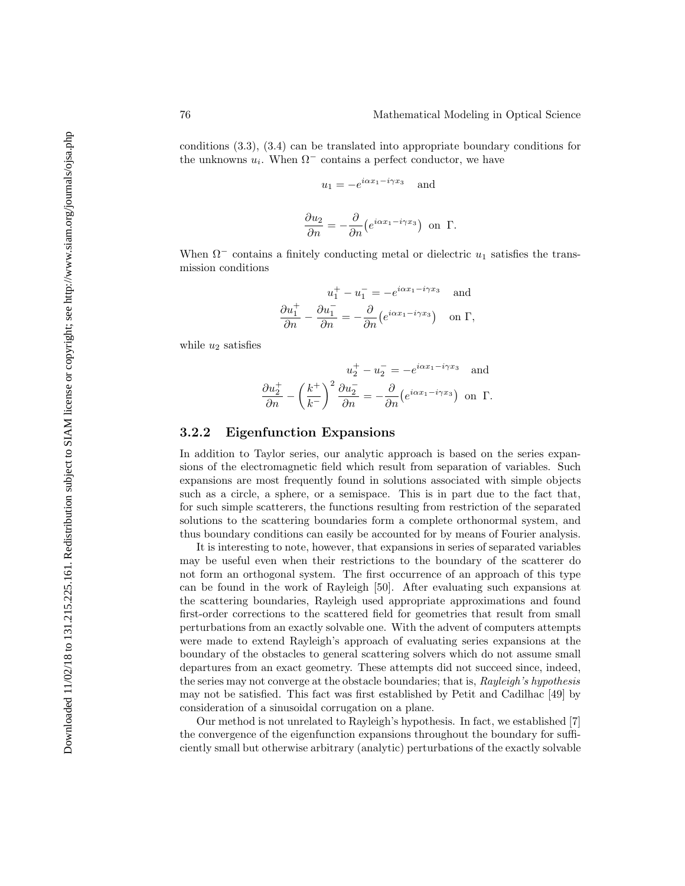conditions (3.3), (3.4) can be translated into appropriate boundary conditions for the unknowns  $u_i$ . When  $\Omega^-$  contains a perfect conductor, we have

$$
u_1 = -e^{i\alpha x_1 - i\gamma x_3} \text{ and}
$$

$$
\frac{\partial u_2}{\partial n} = -\frac{\partial}{\partial n} \left( e^{i\alpha x_1 - i\gamma x_3} \right) \text{ on } \Gamma.
$$

When 
$$
\Omega^-
$$
 contains a finitely conducting metal or dielectric  $u_1$  satisfies the transmission conditions

$$
u_1^+ - u_1^- = -e^{i\alpha x_1 - i\gamma x_3} \text{ and}
$$

$$
\frac{\partial u_1^+}{\partial n} - \frac{\partial u_1^-}{\partial n} = -\frac{\partial}{\partial n} \left( e^{i\alpha x_1 - i\gamma x_3} \right) \text{ on } \Gamma,
$$

while  $u_2$  satisfies

$$
u_2^+ - u_2^- = -e^{i\alpha x_1 - i\gamma x_3} \text{ and}
$$

$$
\frac{\partial u_2^+}{\partial n} - \left(\frac{k^+}{k^-}\right)^2 \frac{\partial u_2^-}{\partial n} = -\frac{\partial}{\partial n} \left(e^{i\alpha x_1 - i\gamma x_3}\right) \text{ on } \Gamma.
$$

#### **3.2.2 Eigenfunction Expansions**

In addition to Taylor series, our analytic approach is based on the series expansions of the electromagnetic field which result from separation of variables. Such expansions are most frequently found in solutions associated with simple objects such as a circle, a sphere, or a semispace. This is in part due to the fact that, for such simple scatterers, the functions resulting from restriction of the separated solutions to the scattering boundaries form a complete orthonormal system, and thus boundary conditions can easily be accounted for by means of Fourier analysis.

It is interesting to note, however, that expansions in series of separated variables may be useful even when their restrictions to the boundary of the scatterer do not form an orthogonal system. The first occurrence of an approach of this type can be found in the work of Rayleigh [50]. After evaluating such expansions at the scattering boundaries, Rayleigh used appropriate approximations and found first-order corrections to the scattered field for geometries that result from small perturbations from an exactly solvable one. With the advent of computers attempts were made to extend Rayleigh's approach of evaluating series expansions at the boundary of the obstacles to general scattering solvers which do not assume small departures from an exact geometry. These attempts did not succeed since, indeed, the series may not converge at the obstacle boundaries; that is, Rayleigh's hypothesis may not be satisfied. This fact was first established by Petit and Cadilhac [49] by consideration of a sinusoidal corrugation on a plane.

Our method is not unrelated to Rayleigh's hypothesis. In fact, we established [7] the convergence of the eigenfunction expansions throughout the boundary for sufficiently small but otherwise arbitrary (analytic) perturbations of the exactly solvable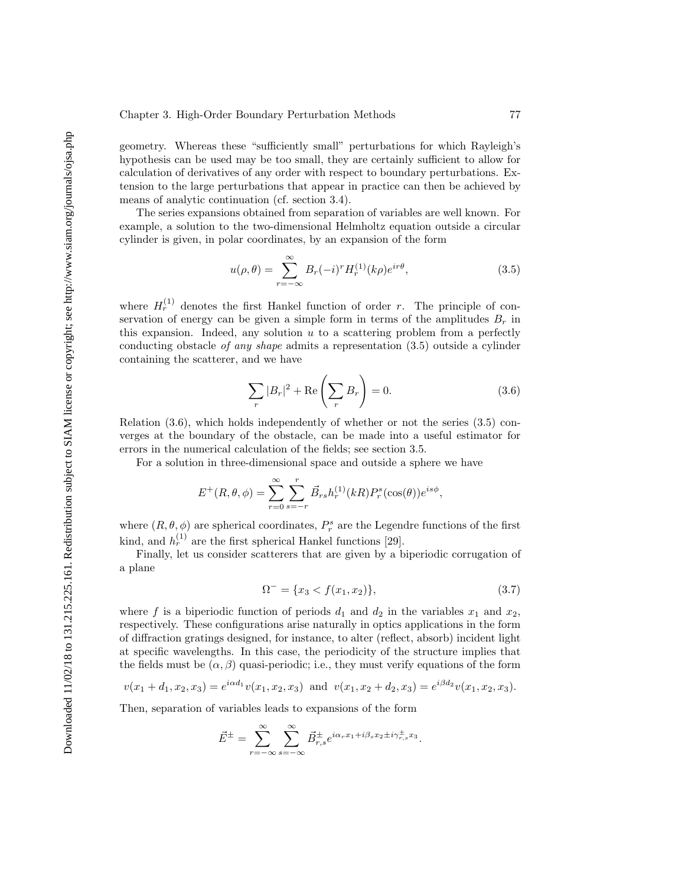geometry. Whereas these "sufficiently small" perturbations for which Rayleigh's hypothesis can be used may be too small, they are certainly sufficient to allow for calculation of derivatives of any order with respect to boundary perturbations. Extension to the large perturbations that appear in practice can then be achieved by means of analytic continuation (cf. section 3.4).

The series expansions obtained from separation of variables are well known. For example, a solution to the two-dimensional Helmholtz equation outside a circular cylinder is given, in polar coordinates, by an expansion of the form

$$
u(\rho,\theta) = \sum_{r=-\infty}^{\infty} B_r(-i)^r H_r^{(1)}(k\rho)e^{ir\theta},
$$
\n(3.5)

where  $H_r^{(1)}$  denotes the first Hankel function of order r. The principle of conservation of energy can be given a simple form in terms of the amplitudes  $B_r$  in this expansion. Indeed, any solution  $u$  to a scattering problem from a perfectly conducting obstacle of any shape admits a representation (3.5) outside a cylinder containing the scatterer, and we have

$$
\sum_{r} |B_r|^2 + \text{Re}\left(\sum_{r} B_r\right) = 0. \tag{3.6}
$$

Relation (3.6), which holds independently of whether or not the series (3.5) converges at the boundary of the obstacle, can be made into a useful estimator for errors in the numerical calculation of the fields; see section 3.5.

For a solution in three-dimensional space and outside a sphere we have

$$
E^+(R,\theta,\phi) = \sum_{r=0}^{\infty} \sum_{s=-r}^r \vec{B}_{rs} h_r^{(1)}(kR) P_r^s(\cos(\theta)) e^{is\phi},
$$

where  $(R, \theta, \phi)$  are spherical coordinates,  $P_r^s$  are the Legendre functions of the first kind, and  $h_r^{(1)}$  are the first spherical Hankel functions [29].

Finally, let us consider scatterers that are given by a biperiodic corrugation of a plane

$$
\Omega^- = \{x_3 < f(x_1, x_2)\},\tag{3.7}
$$

where f is a biperiodic function of periods  $d_1$  and  $d_2$  in the variables  $x_1$  and  $x_2$ , respectively. These configurations arise naturally in optics applications in the form of diffraction gratings designed, for instance, to alter (reflect, absorb) incident light at specific wavelengths. In this case, the periodicity of the structure implies that the fields must be  $(\alpha, \beta)$  quasi-periodic; i.e., they must verify equations of the form

$$
v(x_1 + d_1, x_2, x_3) = e^{i\alpha d_1} v(x_1, x_2, x_3)
$$
 and  $v(x_1, x_2 + d_2, x_3) = e^{i\beta d_2} v(x_1, x_2, x_3).$ 

Then, separation of variables leads to expansions of the form

$$
\vec{E}^{\pm} = \sum_{r=-\infty}^{\infty} \sum_{s=-\infty}^{\infty} \vec{B}_{r,s}^{\pm} e^{i\alpha_r x_1 + i\beta_s x_2 \pm i\gamma_{r,s}^{\pm} x_3}.
$$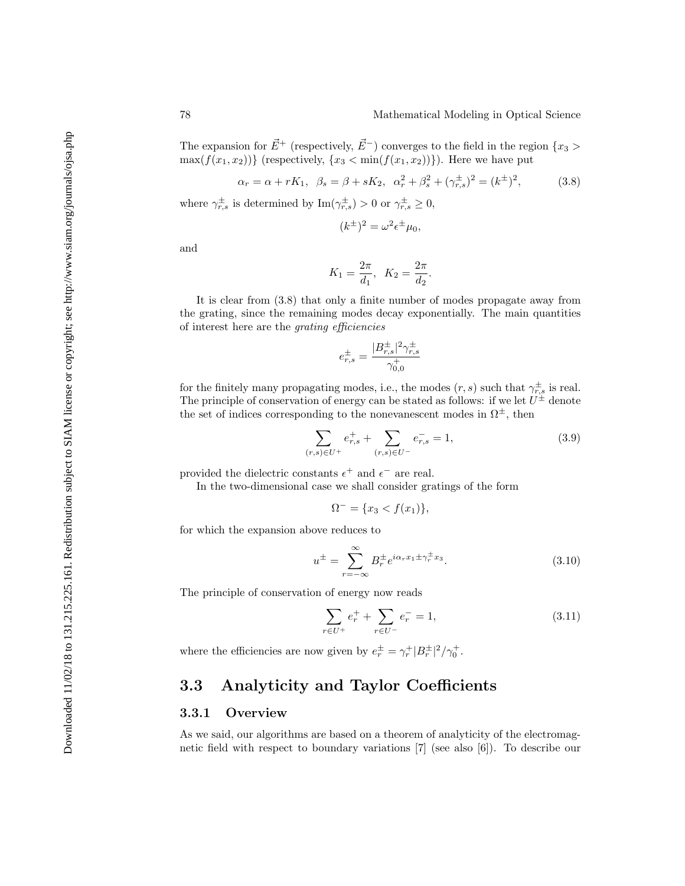The expansion for  $\vec{E}^+$  (respectively,  $\vec{E}^-$ ) converges to the field in the region {x<sub>3</sub> >  $\max(f(x_1, x_2))$  (respectively,  $\{x_3 < \min(f(x_1, x_2))\}\)$ . Here we have put

$$
\alpha_r = \alpha + rK_1, \ \beta_s = \beta + sK_2, \ \alpha_r^2 + \beta_s^2 + (\gamma_{r,s}^{\pm})^2 = (k^{\pm})^2, \tag{3.8}
$$

where  $\gamma_{r,s}^{\pm}$  is determined by  $\text{Im}(\gamma_{r,s}^{\pm}) > 0$  or  $\gamma_{r,s}^{\pm} \geq 0$ ,

$$
(k^{\pm})^2 = \omega^2 \epsilon^{\pm} \mu_0,
$$

and

$$
K_1 = \frac{2\pi}{d_1}, \ \ K_2 = \frac{2\pi}{d_2}.
$$

It is clear from (3.8) that only a finite number of modes propagate away from the grating, since the remaining modes decay exponentially. The main quantities of interest here are the grating efficiencies

$$
e_{r,s}^{\pm} = \frac{|B_{r,s}^{\pm}|^2 \gamma_{r,s}^{\pm}}{\gamma_{0,0}^+}
$$

for the finitely many propagating modes, i.e., the modes  $(r, s)$  such that  $\gamma_{r, s}^{\pm}$  is real. The principle of conservation of energy can be stated as follows: if we let  $U^{\pm}$  denote the set of indices corresponding to the nonevanescent modes in  $\Omega^{\pm}$ , then

$$
\sum_{(r,s)\in U^+} e^+_{r,s} + \sum_{(r,s)\in U^-} e^-_{r,s} = 1,
$$
\n(3.9)

provided the dielectric constants  $\epsilon^+$  and  $\epsilon^-$  are real.

In the two-dimensional case we shall consider gratings of the form

$$
\Omega^- = \{ x_3 < f(x_1) \},
$$

for which the expansion above reduces to

$$
u^{\pm} = \sum_{r=-\infty}^{\infty} B_r^{\pm} e^{i\alpha_r x_1 \pm \gamma_r^{\pm} x_3}.
$$
 (3.10)

The principle of conservation of energy now reads

$$
\sum_{r \in U^{+}} e_{r}^{+} + \sum_{r \in U^{-}} e_{r}^{-} = 1,
$$
\n(3.11)

where the efficiencies are now given by  $e_r^{\pm} = \gamma_r^+ |B_r^{\pm}|^2 / \gamma_0^+$ .

# **3.3 Analyticity and Taylor Coefficients**

#### **3.3.1 Overview**

As we said, our algorithms are based on a theorem of analyticity of the electromagnetic field with respect to boundary variations [7] (see also [6]). To describe our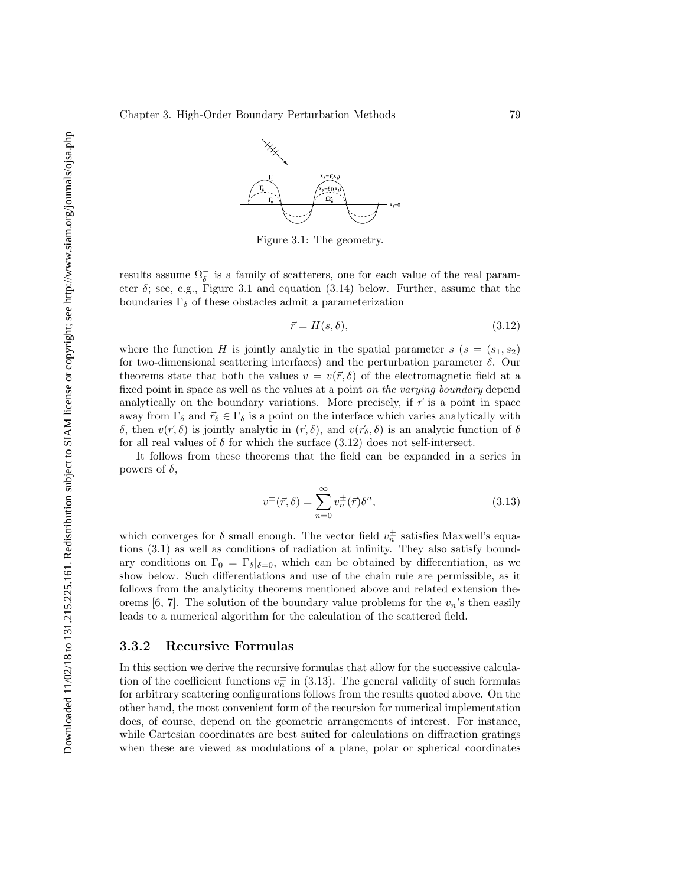

Figure 3.1: The geometry.

results assume  $\Omega_{\delta}^-$  is a family of scatterers, one for each value of the real parameter  $\delta$ ; see, e.g., Figure 3.1 and equation (3.14) below. Further, assume that the boundaries  $\Gamma_{\delta}$  of these obstacles admit a parameterization

$$
\vec{r} = H(s, \delta),\tag{3.12}
$$

where the function H is jointly analytic in the spatial parameter s ( $s = (s_1, s_2)$ ) for two-dimensional scattering interfaces) and the perturbation parameter  $\delta$ . Our theorems state that both the values  $v = v(\vec{r}, \delta)$  of the electromagnetic field at a fixed point in space as well as the values at a point *on the varying boundary* depend analytically on the boundary variations. More precisely, if  $\vec{r}$  is a point in space away from  $\Gamma_{\delta}$  and  $\vec{r}_{\delta} \in \Gamma_{\delta}$  is a point on the interface which varies analytically with δ, then  $v(\vec{r}, \delta)$  is jointly analytic in  $(\vec{r}, \delta)$ , and  $v(\vec{r}_\delta, \delta)$  is an analytic function of δ for all real values of  $\delta$  for which the surface (3.12) does not self-intersect.

It follows from these theorems that the field can be expanded in a series in powers of  $\delta$ ,

$$
v^{\pm}(\vec{r},\delta) = \sum_{n=0}^{\infty} v_n^{\pm}(\vec{r})\delta^n,
$$
\n(3.13)

which converges for  $\delta$  small enough. The vector field  $v_n^{\pm}$  satisfies Maxwell's equations (3.1) as well as conditions of radiation at infinity. They also satisfy boundary conditions on  $\Gamma_0 = \Gamma_\delta|_{\delta=0}$ , which can be obtained by differentiation, as we show below. Such differentiations and use of the chain rule are permissible, as it follows from the analyticity theorems mentioned above and related extension theorems [6, 7]. The solution of the boundary value problems for the  $v_n$ 's then easily leads to a numerical algorithm for the calculation of the scattered field.

#### **3.3.2 Recursive Formulas**

In this section we derive the recursive formulas that allow for the successive calculation of the coefficient functions  $v_n^{\pm}$  in (3.13). The general validity of such formulas for arbitrary scattering configurations follows from the results quoted above. On the other hand, the most convenient form of the recursion for numerical implementation does, of course, depend on the geometric arrangements of interest. For instance, while Cartesian coordinates are best suited for calculations on diffraction gratings when these are viewed as modulations of a plane, polar or spherical coordinates

Downloaded 11/02/18 to 131.215.225.161. Redistribution subject to SIAM license or copyright; see http://www.siam.org/journals/ojsa.php

Downloaded 11/02/18 to 131.215.225.161. Redistribution subject to SIAM license or copyright; see http://www.siam.org/journals/ojsa.php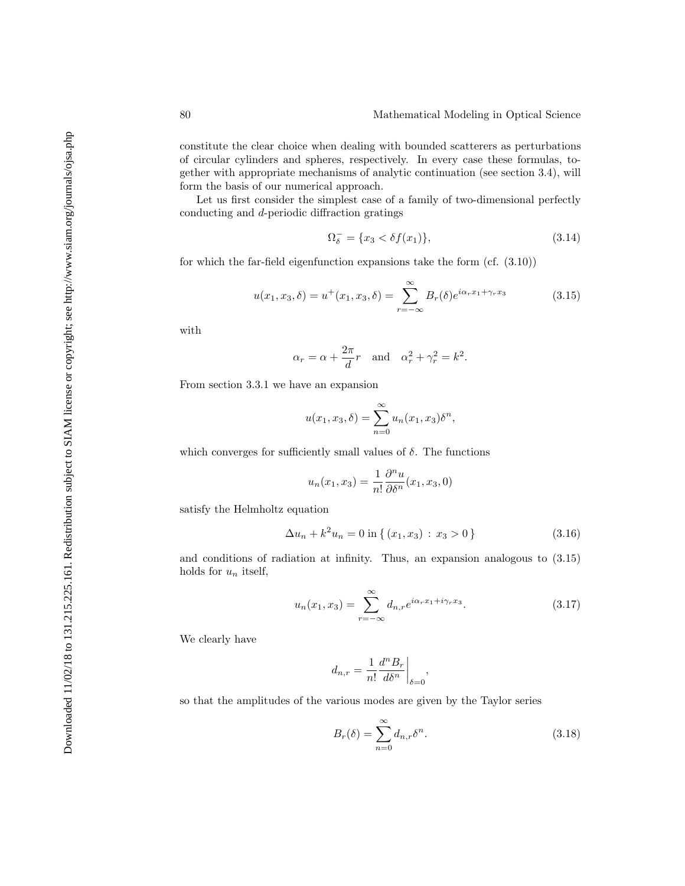constitute the clear choice when dealing with bounded scatterers as perturbations of circular cylinders and spheres, respectively. In every case these formulas, together with appropriate mechanisms of analytic continuation (see section 3.4), will form the basis of our numerical approach.

Let us first consider the simplest case of a family of two-dimensional perfectly conducting and d-periodic diffraction gratings

$$
\Omega_{\delta}^- = \{ x_3 < \delta f(x_1) \},\tag{3.14}
$$

for which the far-field eigenfunction expansions take the form (cf. (3.10))

$$
u(x_1, x_3, \delta) = u^+(x_1, x_3, \delta) = \sum_{r=-\infty}^{\infty} B_r(\delta) e^{i\alpha_r x_1 + \gamma_r x_3}
$$
(3.15)

with

$$
\alpha_r = \alpha + \frac{2\pi}{d}r
$$
 and  $\alpha_r^2 + \gamma_r^2 = k^2$ .

From section 3.3.1 we have an expansion

$$
u(x_1, x_3, \delta) = \sum_{n=0}^{\infty} u_n(x_1, x_3) \delta^n
$$
,

which converges for sufficiently small values of  $\delta$ . The functions

$$
u_n(x_1, x_3) = \frac{1}{n!} \frac{\partial^n u}{\partial \delta^n}(x_1, x_3, 0)
$$

satisfy the Helmholtz equation

$$
\Delta u_n + k^2 u_n = 0 \text{ in } \{ (x_1, x_3) : x_3 > 0 \}
$$
\n(3.16)

and conditions of radiation at infinity. Thus, an expansion analogous to (3.15) holds for  $u_n$  itself,

$$
u_n(x_1, x_3) = \sum_{r = -\infty}^{\infty} d_{n,r} e^{i\alpha_r x_1 + i\gamma_r x_3}.
$$
 (3.17)

We clearly have

$$
d_{n,r} = \frac{1}{n!} \frac{d^n B_r}{d\delta^n} \bigg|_{\delta=0},
$$

so that the amplitudes of the various modes are given by the Taylor series

$$
B_r(\delta) = \sum_{n=0}^{\infty} d_{n,r} \delta^n.
$$
\n(3.18)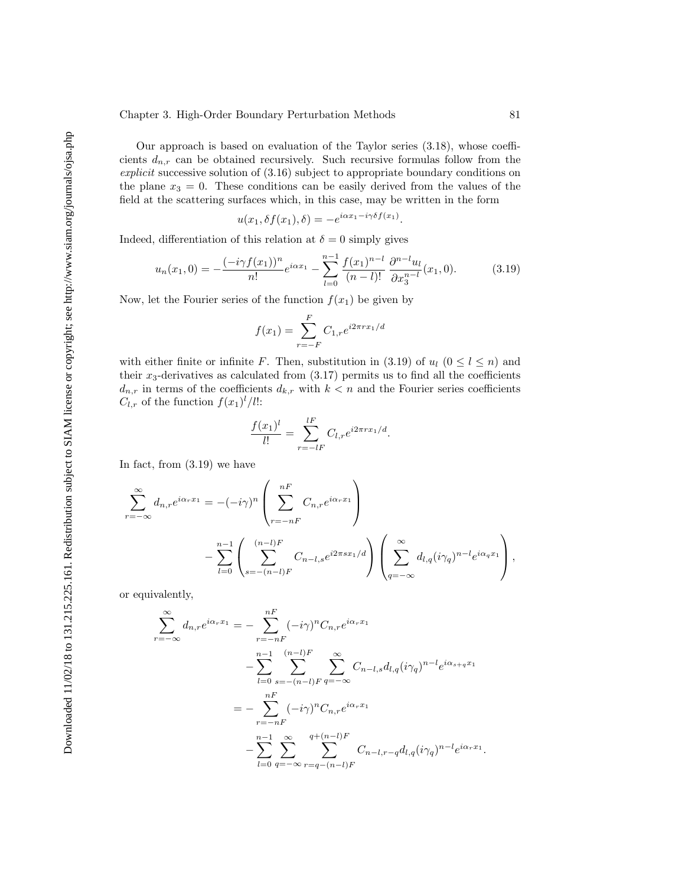#### Chapter 3. High-Order Boundary Perturbation Methods 81

Our approach is based on evaluation of the Taylor series (3.18), whose coefficients  $d_{n,r}$  can be obtained recursively. Such recursive formulas follow from the explicit successive solution of (3.16) subject to appropriate boundary conditions on the plane  $x_3 = 0$ . These conditions can be easily derived from the values of the field at the scattering surfaces which, in this case, may be written in the form

$$
u(x_1, \delta f(x_1), \delta) = -e^{i\alpha x_1 - i\gamma \delta f(x_1)}.
$$

Indeed, differentiation of this relation at  $\delta = 0$  simply gives

$$
u_n(x_1,0) = -\frac{(-i\gamma f(x_1))^n}{n!}e^{i\alpha x_1} - \sum_{l=0}^{n-1} \frac{f(x_1)^{n-l}}{(n-l)!} \frac{\partial^{n-l} u_l}{\partial x_3^{n-l}}(x_1,0). \tag{3.19}
$$

Now, let the Fourier series of the function  $f(x_1)$  be given by

$$
f(x_1) = \sum_{r=-F}^{F} C_{1,r} e^{i2\pi rx_1/d}
$$

with either finite or infinite F. Then, substitution in (3.19) of  $u_l$  ( $0 \le l \le n$ ) and their  $x_3$ -derivatives as calculated from  $(3.17)$  permits us to find all the coefficients  $d_{n,r}$  in terms of the coefficients  $d_{k,r}$  with  $k < n$  and the Fourier series coefficients  $C_{l,r}$  of the function  $f(x_1)^l/l!$ :

$$
\frac{f(x_1)^l}{l!} = \sum_{r=-lF}^{lF} C_{l,r} e^{i2\pi rx_1/d}.
$$

In fact, from (3.19) we have

$$
\sum_{r=-\infty}^{\infty} d_{n,r} e^{i\alpha_r x_1} = -(-i\gamma)^n \left( \sum_{r=-nF}^{nF} C_{n,r} e^{i\alpha_r x_1} \right)
$$

$$
- \sum_{l=0}^{n-1} \left( \sum_{s=-(n-l)F}^{(n-l)F} C_{n-l,s} e^{i2\pi s x_1/d} \right) \left( \sum_{q=-\infty}^{\infty} d_{l,q} (i\gamma_q)^{n-l} e^{i\alpha_q x_1} \right),
$$

or equivalently,

$$
\sum_{r=-\infty}^{\infty} d_{n,r} e^{i\alpha_r x_1} = - \sum_{r=-nF}^{nF} (-i\gamma)^n C_{n,r} e^{i\alpha_r x_1} \n- \sum_{l=0}^{n-1} \sum_{s=-(n-l)F}^{(n-l)F} \sum_{q=-\infty}^{\infty} C_{n-l,s} d_{l,q} (i\gamma_q)^{n-l} e^{i\alpha_{s+q} x_1} \n= - \sum_{r=-nF}^{nF} (-i\gamma)^n C_{n,r} e^{i\alpha_r x_1} \n- \sum_{l=0}^{n-1} \sum_{q=-\infty}^{\infty} \sum_{r=q-(n-l)F}^{q+(n-l)F} C_{n-l,r-q} d_{l,q} (i\gamma_q)^{n-l} e^{i\alpha_r x_1}.
$$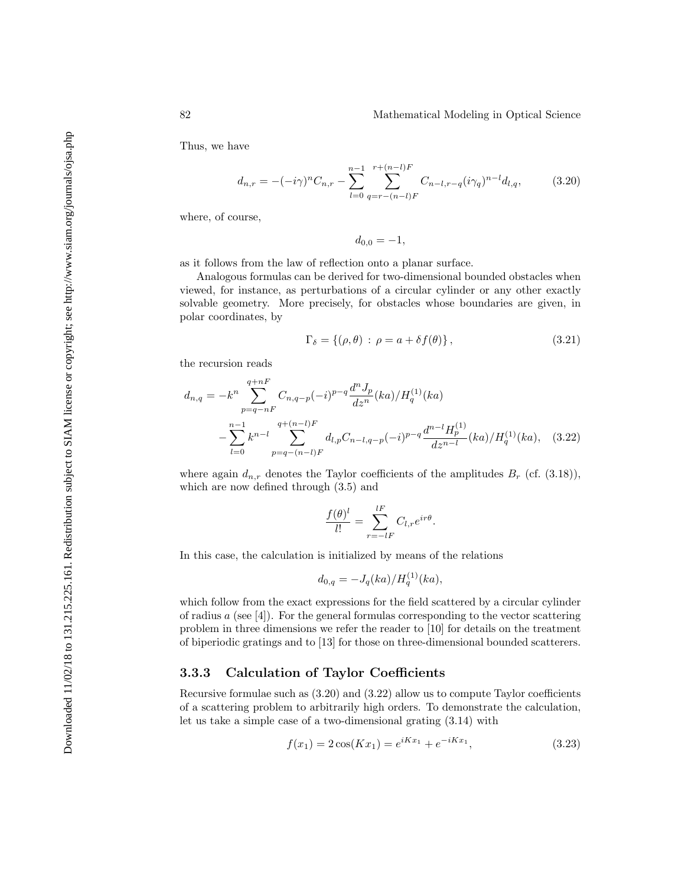Thus, we have

$$
d_{n,r} = -(-i\gamma)^n C_{n,r} - \sum_{l=0}^{n-1} \sum_{q=r-(n-l)F}^{r+(n-l)F} C_{n-l,r-q}(i\gamma_q)^{n-l} d_{l,q},
$$
(3.20)

where, of course,

$$
d_{0,0}=-1,
$$

as it follows from the law of reflection onto a planar surface.

Analogous formulas can be derived for two-dimensional bounded obstacles when viewed, for instance, as perturbations of a circular cylinder or any other exactly solvable geometry. More precisely, for obstacles whose boundaries are given, in polar coordinates, by

$$
\Gamma_{\delta} = \{(\rho, \theta) : \rho = a + \delta f(\theta)\},\tag{3.21}
$$

the recursion reads

$$
d_{n,q} = -k^{n} \sum_{p=q-nF}^{q+nF} C_{n,q-p}(-i)^{p-q} \frac{d^{n} J_{p}}{dz^{n}}(ka) / H_{q}^{(1)}(ka)
$$
  

$$
- \sum_{l=0}^{n-1} k^{n-l} \sum_{p=q-(n-l)F}^{q+(n-l)F} d_{l,p} C_{n-l,q-p}(-i)^{p-q} \frac{d^{n-l} H_{p}^{(1)}}{dz^{n-l}}(ka) / H_{q}^{(1)}(ka), \quad (3.22)
$$

where again  $d_{n,r}$  denotes the Taylor coefficients of the amplitudes  $B_r$  (cf. (3.18)), which are now defined through (3.5) and

$$
\frac{f(\theta)^l}{l!} = \sum_{r=-lF}^{lF} C_{l,r} e^{ir\theta}.
$$

In this case, the calculation is initialized by means of the relations

$$
d_{0,q} = -J_q(ka)/H_q^{(1)}(ka),
$$

which follow from the exact expressions for the field scattered by a circular cylinder of radius  $a$  (see [4]). For the general formulas corresponding to the vector scattering problem in three dimensions we refer the reader to [10] for details on the treatment of biperiodic gratings and to [13] for those on three-dimensional bounded scatterers.

#### **3.3.3 Calculation of Taylor Coefficients**

Recursive formulae such as (3.20) and (3.22) allow us to compute Taylor coefficients of a scattering problem to arbitrarily high orders. To demonstrate the calculation, let us take a simple case of a two-dimensional grating (3.14) with

$$
f(x_1) = 2\cos(Kx_1) = e^{iKx_1} + e^{-iKx_1},
$$
\n(3.23)

Downloaded 11/02/18 to 131.215.225.161. Redistribution subject to SIAM license or copyright; see http://www.siam.org/journals/ojsa.php Downloaded 11/02/18 to 131.215.225.161. Redistribution subject to SIAM license or copyright; see http://www.siam.org/journals/ojsa.php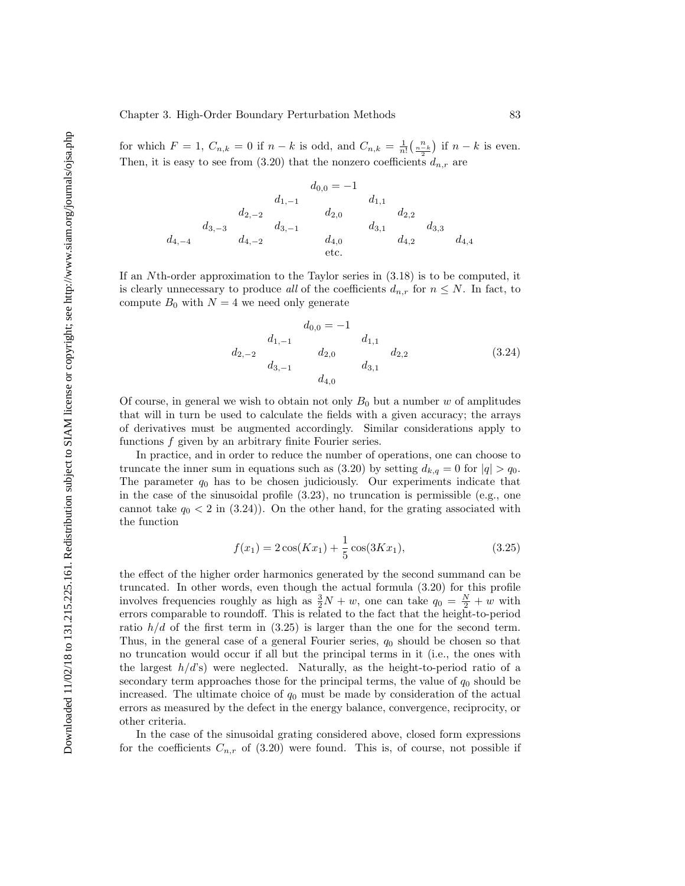for which  $F = 1$ ,  $C_{n,k} = 0$  if  $n - k$  is odd, and  $C_{n,k} = \frac{1}{n!} \left(\frac{n}{n-k}\right)$  if  $n - k$  is even. Then, it is easy to see from  $(3.20)$  that the nonzero coefficients  $d_{n,r}$  are

$$
d_{0,0} = -1
$$
  
\n
$$
d_{1,-1} \t d_{1,1}
$$
  
\n
$$
d_{2,-2} \t d_{2,0}
$$
  
\n
$$
d_{3,-3} \t d_{3,-1}
$$
  
\n
$$
d_{4,-2} \t d_{4,0}
$$
  
\n
$$
d_{4,0}
$$
  
\n
$$
d_{4,2}
$$
  
\n
$$
d_{4,3}
$$
  
\n
$$
d_{4,4}
$$
  
\netc.

If an Nth-order approximation to the Taylor series in (3.18) is to be computed, it is clearly unnecessary to produce all of the coefficients  $d_{n,r}$  for  $n \leq N$ . In fact, to compute  $B_0$  with  $N = 4$  we need only generate

$$
d_{0,0} = -1
$$
  
\n
$$
d_{1,-1} \t d_{2,0} \t d_{1,1}
$$
  
\n
$$
d_{2,-2} \t d_{3,-1} \t d_{2,0}
$$
  
\n
$$
d_{3,1} \t d_{3,1}
$$
\n(3.24)

Of course, in general we wish to obtain not only  $B_0$  but a number w of amplitudes that will in turn be used to calculate the fields with a given accuracy; the arrays of derivatives must be augmented accordingly. Similar considerations apply to functions f given by an arbitrary finite Fourier series.

In practice, and in order to reduce the number of operations, one can choose to truncate the inner sum in equations such as (3.20) by setting  $d_{k,q} = 0$  for  $|q| > q_0$ . The parameter  $q_0$  has to be chosen judiciously. Our experiments indicate that in the case of the sinusoidal profile  $(3.23)$ , no truncation is permissible (e.g., one cannot take  $q_0 < 2$  in (3.24)). On the other hand, for the grating associated with the function

$$
f(x_1) = 2\cos(Kx_1) + \frac{1}{5}\cos(3Kx_1),\tag{3.25}
$$

the effect of the higher order harmonics generated by the second summand can be truncated. In other words, even though the actual formula (3.20) for this profile involves frequencies roughly as high as  $\frac{3}{2}N + w$ , one can take  $q_0 = \frac{N}{2} + w$  with errors comparable to roundoff. This is related to the fact that the height-to-period ratio  $h/d$  of the first term in  $(3.25)$  is larger than the one for the second term. Thus, in the general case of a general Fourier series,  $q_0$  should be chosen so that no truncation would occur if all but the principal terms in it (i.e., the ones with the largest  $h/d$ 's) were neglected. Naturally, as the height-to-period ratio of a secondary term approaches those for the principal terms, the value of  $q_0$  should be increased. The ultimate choice of  $q_0$  must be made by consideration of the actual errors as measured by the defect in the energy balance, convergence, reciprocity, or other criteria.

In the case of the sinusoidal grating considered above, closed form expressions for the coefficients  $C_{n,r}$  of (3.20) were found. This is, of course, not possible if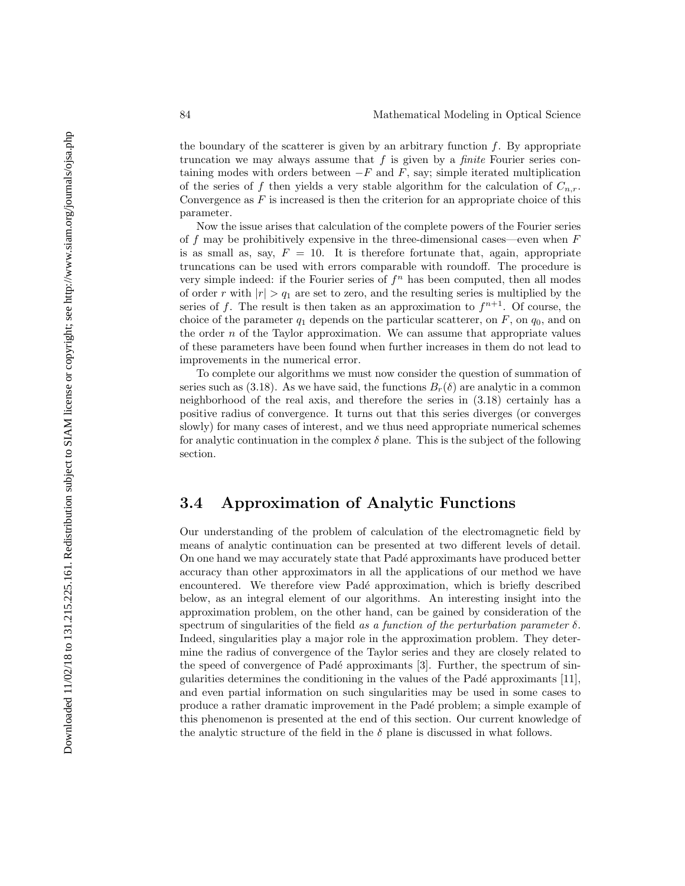the boundary of the scatterer is given by an arbitrary function  $f$ . By appropriate truncation we may always assume that  $f$  is given by a *finite* Fourier series containing modes with orders between  $-F$  and F, say; simple iterated multiplication of the series of f then yields a very stable algorithm for the calculation of  $C_{n,r}$ . Convergence as  $F$  is increased is then the criterion for an appropriate choice of this parameter.

Now the issue arises that calculation of the complete powers of the Fourier series of f may be prohibitively expensive in the three-dimensional cases—even when  $F$ is as small as, say,  $F = 10$ . It is therefore fortunate that, again, appropriate truncations can be used with errors comparable with roundoff. The procedure is very simple indeed: if the Fourier series of  $f<sup>n</sup>$  has been computed, then all modes of order r with  $|r| > q_1$  are set to zero, and the resulting series is multiplied by the series of f. The result is then taken as an approximation to  $f^{n+1}$ . Of course, the choice of the parameter  $q_1$  depends on the particular scatterer, on  $F$ , on  $q_0$ , and on the order  $n$  of the Taylor approximation. We can assume that appropriate values of these parameters have been found when further increases in them do not lead to improvements in the numerical error.

To complete our algorithms we must now consider the question of summation of series such as (3.18). As we have said, the functions  $B_r(\delta)$  are analytic in a common neighborhood of the real axis, and therefore the series in (3.18) certainly has a positive radius of convergence. It turns out that this series diverges (or converges slowly) for many cases of interest, and we thus need appropriate numerical schemes for analytic continuation in the complex  $\delta$  plane. This is the subject of the following section.

## **3.4 Approximation of Analytic Functions**

Our understanding of the problem of calculation of the electromagnetic field by means of analytic continuation can be presented at two different levels of detail. On one hand we may accurately state that Padé approximants have produced better accuracy than other approximators in all the applications of our method we have encountered. We therefore view Padé approximation, which is briefly described below, as an integral element of our algorithms. An interesting insight into the approximation problem, on the other hand, can be gained by consideration of the spectrum of singularities of the field as a function of the perturbation parameter  $\delta$ . Indeed, singularities play a major role in the approximation problem. They determine the radius of convergence of the Taylor series and they are closely related to the speed of convergence of Padé approximants [3]. Further, the spectrum of singularities determines the conditioning in the values of the Padé approximants  $[11]$ , and even partial information on such singularities may be used in some cases to produce a rather dramatic improvement in the Padé problem; a simple example of this phenomenon is presented at the end of this section. Our current knowledge of the analytic structure of the field in the  $\delta$  plane is discussed in what follows.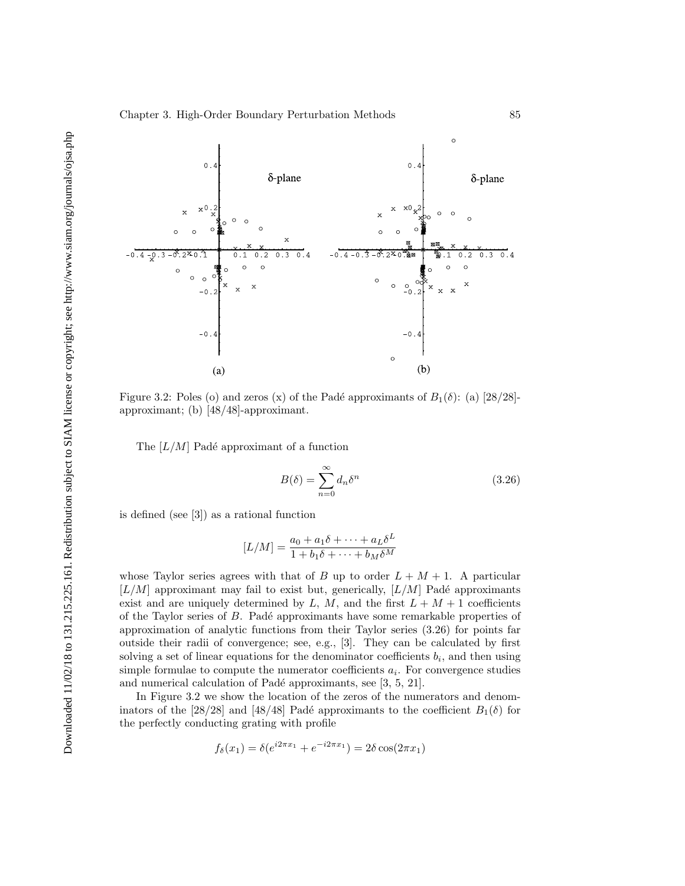

Figure 3.2: Poles (o) and zeros (x) of the Padé approximants of  $B_1(\delta)$ : (a) [28/28]approximant; (b) [48/48]-approximant.

The  $[L/M]$  Padé approximant of a function

$$
B(\delta) = \sum_{n=0}^{\infty} d_n \delta^n
$$
 (3.26)

is defined (see [3]) as a rational function

$$
[L/M] = \frac{a_0 + a_1 \delta + \dots + a_L \delta^L}{1 + b_1 \delta + \dots + b_M \delta^M}
$$

whose Taylor series agrees with that of B up to order  $L + M + 1$ . A particular  $[L/M]$  approximant may fail to exist but, generically,  $[L/M]$  Padé approximants exist and are uniquely determined by L, M, and the first  $L + M + 1$  coefficients of the Taylor series of B. Pad´e approximants have some remarkable properties of approximation of analytic functions from their Taylor series (3.26) for points far outside their radii of convergence; see, e.g., [3]. They can be calculated by first solving a set of linear equations for the denominator coefficients  $b_i$ , and then using simple formulae to compute the numerator coefficients  $a_i$ . For convergence studies and numerical calculation of Padé approximants, see [3, 5, 21].

In Figure 3.2 we show the location of the zeros of the numerators and denominators of the [28/28] and [48/48] Padé approximants to the coefficient  $B_1(\delta)$  for the perfectly conducting grating with profile

$$
f_{\delta}(x_1) = \delta(e^{i2\pi x_1} + e^{-i2\pi x_1}) = 2\delta \cos(2\pi x_1)
$$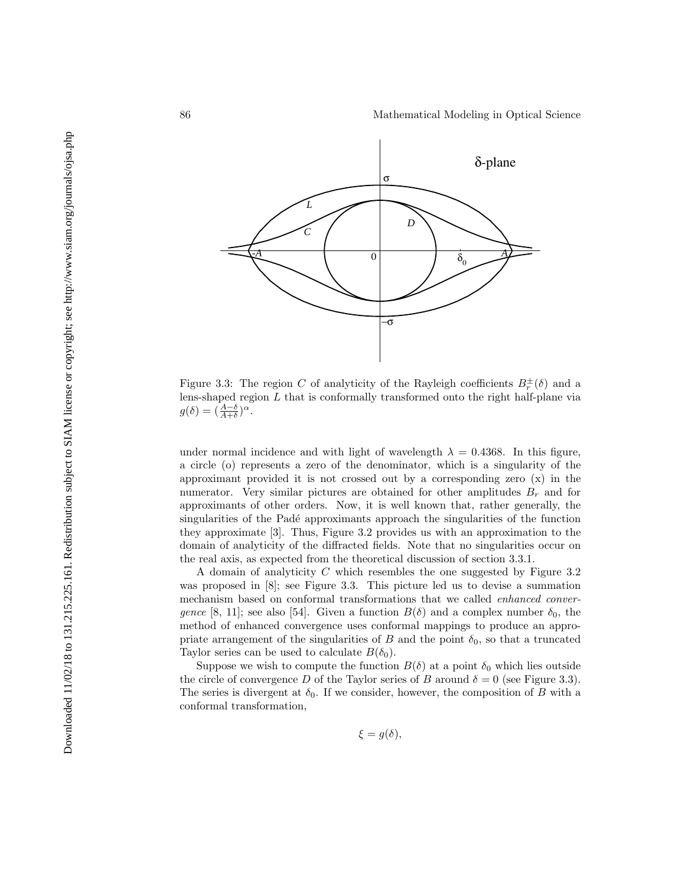

Figure 3.3: The region C of analyticity of the Rayleigh coefficients  $B_r^{\pm}(\delta)$  and a lens-shaped region L that is conformally transformed onto the right half-plane via  $g(\delta) = \left(\frac{A-\delta}{A+\delta}\right)^{\alpha}.$ 

under normal incidence and with light of wavelength  $\lambda = 0.4368$ . In this figure, a circle (o) represents a zero of the denominator, which is a singularity of the approximant provided it is not crossed out by a corresponding zero  $(x)$  in the numerator. Very similar pictures are obtained for other amplitudes  $B_r$  and for approximants of other orders. Now, it is well known that, rather generally, the singularities of the Padé approximants approach the singularities of the function they approximate [3]. Thus, Figure 3.2 provides us with an approximation to the domain of analyticity of the diffracted fields. Note that no singularities occur on the real axis, as expected from the theoretical discussion of section 3.3.1.

A domain of analyticity C which resembles the one suggested by Figure 3.2 was proposed in [8]; see Figure 3.3. This picture led us to devise a summation mechanism based on conformal transformations that we called *enhanced conver*gence [8, 11]; see also [54]. Given a function  $B(\delta)$  and a complex number  $\delta_0$ , the method of enhanced convergence uses conformal mappings to produce an appropriate arrangement of the singularities of B and the point  $\delta_0$ , so that a truncated Taylor series can be used to calculate  $B(\delta_0)$ .

Suppose we wish to compute the function  $B(\delta)$  at a point  $\delta_0$  which lies outside the circle of convergence D of the Taylor series of B around  $\delta = 0$  (see Figure 3.3). The series is divergent at  $\delta_0$ . If we consider, however, the composition of B with a conformal transformation,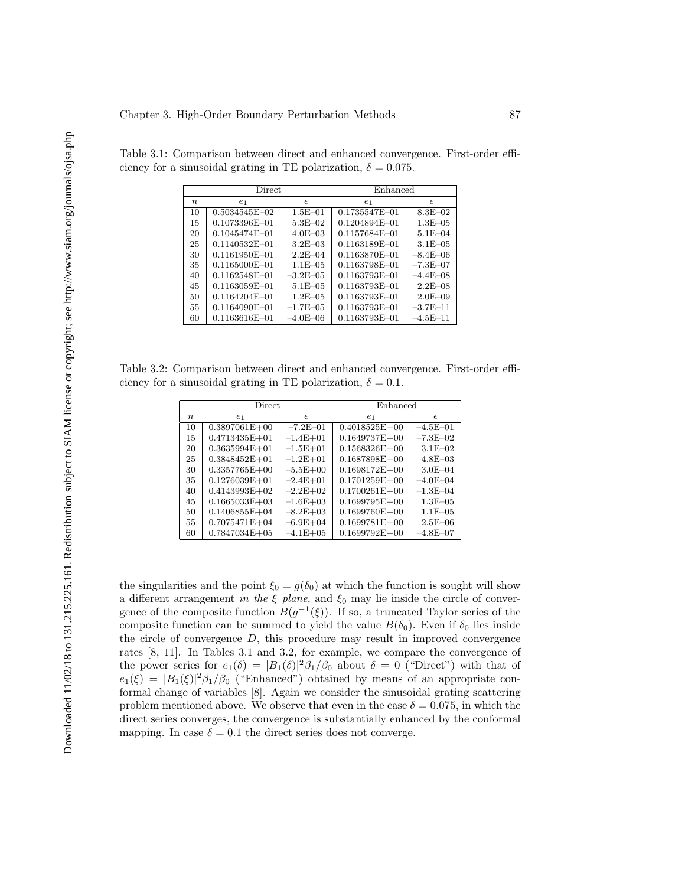|        | Direct            |               | Enhanced          |              |
|--------|-------------------|---------------|-------------------|--------------|
| $\, n$ | e <sub>1</sub>    | $\epsilon$    | e <sub>1</sub>    | $\epsilon$   |
| 10     | 0.5034545E-02     | $1.5E - 01$   | 0.1735547E-01     | $8.3F - 02$  |
| 15     | 0.1073396E-01     | $5.3E - 02$   | $0.1204894E - 01$ | $1.3E - 0.5$ |
| 20     | 0.1045474E-01     | $4.0E - 0.3$  | 0.1157684E-01     | $5.1E - 04$  |
| 25     | 0.1140532E-01     | $3.2E - 0.3$  | 0.1163189E-01     | $3.1E - 0.5$ |
| 30     | 0.1161950E-01     | $2.2E - 04$   | 0.1163870E-01     | $-8.4E - 06$ |
| 35     | 0.1165000E-01     | $1.1E - 0.5$  | 0.1163798E-01     | $-7.3E - 07$ |
| 40     | $0.1162548E - 01$ | $-3.2E - 0.5$ | $0.1163793E - 01$ | $-4.4E - 08$ |
| 45     | 0.1163059E-01     | $5.1E - 0.5$  | 0.1163793E-01     | $2.2E - 0.8$ |
| 50     | 0.1164204E-01     | $1.2E - 0.5$  | 0.1163793E-01     | $2.0E - 0.9$ |
| 55     | 0.1164090E-01     | $-1.7E - 0.5$ | 0.1163793E-01     | $-3.7E-11$   |
| 60     | $0.1163616E - 01$ | $-4.0E - 06$  | $0.1163793E - 01$ | $-4.5E-11$   |

Table 3.1: Comparison between direct and enhanced convergence. First-order efficiency for a sinusoidal grating in TE polarization,  $\delta = 0.075$ .

Table 3.2: Comparison between direct and enhanced convergence. First-order efficiency for a sinusoidal grating in TE polarization,  $\delta = 0.1$ .

|        | Direct            |               | Enhanced          |              |  |
|--------|-------------------|---------------|-------------------|--------------|--|
| $\, n$ | e <sub>1</sub>    | $\epsilon$    | e <sub>1</sub>    | $\epsilon$   |  |
| 10     | $0.3897061E + 00$ | $-7.2E - 01$  | $0.4018525E+00$   | $-4.5E-01$   |  |
| 15     | $0.4713435E+01$   | $-1.4E + 01$  | $0.1649737E + 00$ | $-7.3E - 02$ |  |
| 20     | $0.3635994E+01$   | $-1.5E + 01$  | $0.1568326E + 00$ | $3.1E - 02$  |  |
| 25     | $0.3848452E+01$   | $-1.2E + 01$  | $0.1687898E + 00$ | $4.8E - 03$  |  |
| 30     | $0.3357765E + 00$ | $-5.5E + 00$  | $0.1698172E + 00$ | $3.0E - 04$  |  |
| 35     | $0.1276039E + 01$ | $-2.4E + 01$  | $0.1701259E + 00$ | $-4.0E - 04$ |  |
| 40     | $0.4143993E+02$   | $-2.2E+0.2$   | $0.1700261E + 00$ | $-1.3E - 04$ |  |
| 45     | $0.1665033E + 03$ | $-1.6E + 03$  | $0.1699795E + 00$ | $1.3E - 0.5$ |  |
| 50     | $0.1406855E+04$   | $-8.2E + 03$  | $0.1699760E + 00$ | $1.1E - 0.5$ |  |
| 55     | $0.7075471E + 04$ | $-6.9E + 04$  | $0.1699781E + 00$ | $2.5E - 06$  |  |
| 60     | $0.7847034E + 05$ | $-4.1E + 0.5$ | $0.1699792E + 00$ | $-4.8E - 07$ |  |

the singularities and the point  $\xi_0 = g(\delta_0)$  at which the function is sought will show a different arrangement in the  $\xi$  plane, and  $\xi_0$  may lie inside the circle of convergence of the composite function  $B(g^{-1}(\xi))$ . If so, a truncated Taylor series of the composite function can be summed to yield the value  $B(\delta_0)$ . Even if  $\delta_0$  lies inside the circle of convergence  $D$ , this procedure may result in improved convergence rates [8, 11]. In Tables 3.1 and 3.2, for example, we compare the convergence of the power series for  $e_1(\delta) = |B_1(\delta)|^2 \beta_1/\beta_0$  about  $\delta = 0$  ("Direct") with that of  $e_1(\xi) = |B_1(\xi)|^2 \beta_1/\beta_0$  ("Enhanced") obtained by means of an appropriate conformal change of variables [8]. Again we consider the sinusoidal grating scattering problem mentioned above. We observe that even in the case  $\delta = 0.075$ , in which the direct series converges, the convergence is substantially enhanced by the conformal mapping. In case  $\delta = 0.1$  the direct series does not converge.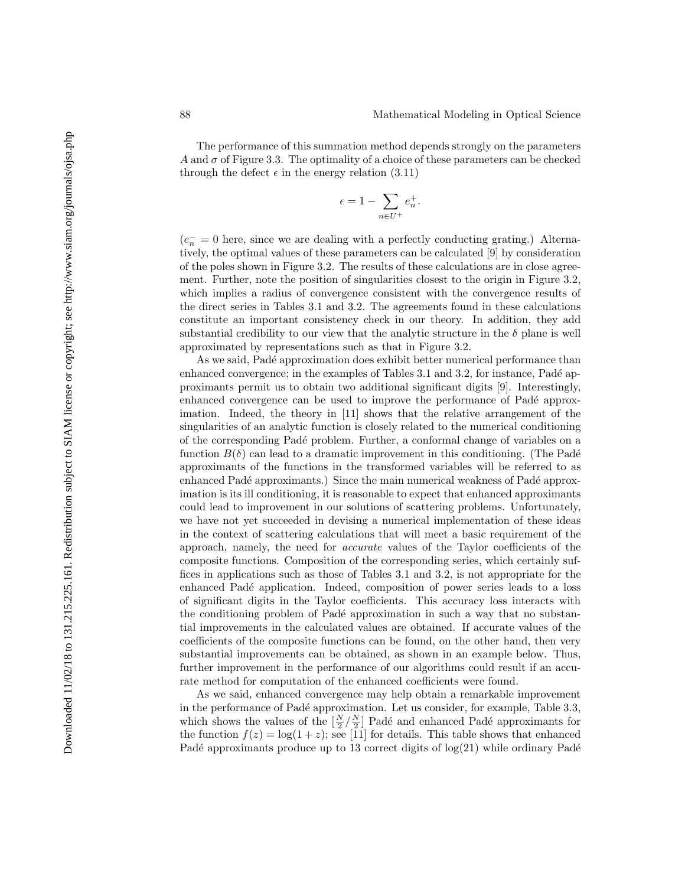The performance of this summation method depends strongly on the parameters A and  $\sigma$  of Figure 3.3. The optimality of a choice of these parameters can be checked through the defect  $\epsilon$  in the energy relation (3.11)

$$
\epsilon = 1 - \sum_{n \in U^+} e_n^+.
$$

 $(e_n^- = 0$  here, since we are dealing with a perfectly conducting grating.) Alternatively, the optimal values of these parameters can be calculated [9] by consideration of the poles shown in Figure 3.2. The results of these calculations are in close agreement. Further, note the position of singularities closest to the origin in Figure 3.2, which implies a radius of convergence consistent with the convergence results of the direct series in Tables 3.1 and 3.2. The agreements found in these calculations constitute an important consistency check in our theory. In addition, they add substantial credibility to our view that the analytic structure in the  $\delta$  plane is well approximated by representations such as that in Figure 3.2.

As we said, Padé approximation does exhibit better numerical performance than enhanced convergence; in the examples of Tables 3.1 and 3.2, for instance, Padé approximants permit us to obtain two additional significant digits [9]. Interestingly, enhanced convergence can be used to improve the performance of Padé approximation. Indeed, the theory in [11] shows that the relative arrangement of the singularities of an analytic function is closely related to the numerical conditioning of the corresponding Pad´e problem. Further, a conformal change of variables on a function  $B(\delta)$  can lead to a dramatic improvement in this conditioning. (The Padé approximants of the functions in the transformed variables will be referred to as enhanced Padé approximants.) Since the main numerical weakness of Padé approximation is its ill conditioning, it is reasonable to expect that enhanced approximants could lead to improvement in our solutions of scattering problems. Unfortunately, we have not yet succeeded in devising a numerical implementation of these ideas in the context of scattering calculations that will meet a basic requirement of the approach, namely, the need for accurate values of the Taylor coefficients of the composite functions. Composition of the corresponding series, which certainly suffices in applications such as those of Tables 3.1 and 3.2, is not appropriate for the enhanced Pad´e application. Indeed, composition of power series leads to a loss of significant digits in the Taylor coefficients. This accuracy loss interacts with the conditioning problem of Padé approximation in such a way that no substantial improvements in the calculated values are obtained. If accurate values of the coefficients of the composite functions can be found, on the other hand, then very substantial improvements can be obtained, as shown in an example below. Thus, further improvement in the performance of our algorithms could result if an accurate method for computation of the enhanced coefficients were found.

As we said, enhanced convergence may help obtain a remarkable improvement in the performance of Padé approximation. Let us consider, for example, Table 3.3, which shows the values of the  $\left[\frac{N}{2}/\frac{N}{2}\right]$  Padé and enhanced Padé approximants for the function  $f(z) = \log(1 + z)$ ; see [11] for details. This table shows that enhanced Padé approximants produce up to 13 correct digits of  $log(21)$  while ordinary Padé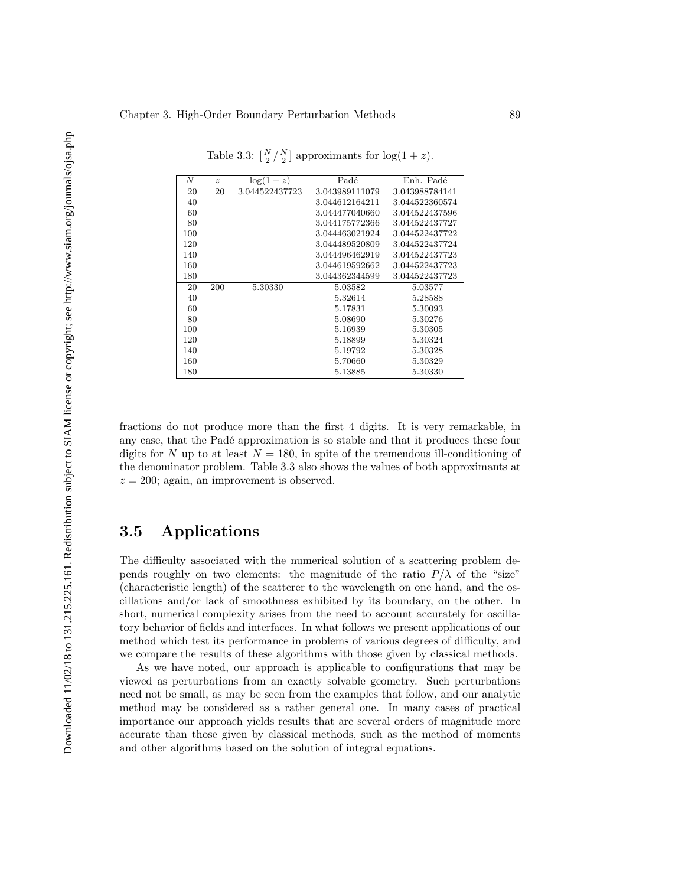| N   | $\boldsymbol{z}$ | $\log(1+z)$    | Padé           | Enh. Padé      |
|-----|------------------|----------------|----------------|----------------|
| 20  | 20               | 3.044522437723 | 3.043989111079 | 3.043988784141 |
| 40  |                  |                | 3.044612164211 | 3.044522360574 |
| 60  |                  |                | 3.044477040660 | 3.044522437596 |
| 80  |                  |                | 3.044175772366 | 3.044522437727 |
| 100 |                  |                | 3.044463021924 | 3.044522437722 |
| 120 |                  |                | 3.044489520809 | 3.044522437724 |
| 140 |                  |                | 3.044496462919 | 3.044522437723 |
| 160 |                  |                | 3.044619592662 | 3.044522437723 |
| 180 |                  |                | 3.044362344599 | 3.044522437723 |
| 20  | 200              | 5.30330        | 5.03582        | 5.03577        |
| 40  |                  |                | 5.32614        | 5.28588        |
| 60  |                  |                | 5.17831        | 5.30093        |
| 80  |                  |                | 5.08690        | 5.30276        |
| 100 |                  |                | 5.16939        | 5.30305        |
| 120 |                  |                | 5.18899        | 5.30324        |
| 140 |                  |                | 5.19792        | 5.30328        |
| 160 |                  |                | 5.70660        | 5.30329        |
| 180 |                  |                | 5.13885        | 5.30330        |

Table 3.3:  $\left[\frac{N}{2}/\frac{N}{2}\right]$  approximants for  $\log(1+z)$ .

fractions do not produce more than the first 4 digits. It is very remarkable, in any case, that the Padé approximation is so stable and that it produces these four digits for N up to at least  $N = 180$ , in spite of the tremendous ill-conditioning of the denominator problem. Table 3.3 also shows the values of both approximants at  $z = 200$ ; again, an improvement is observed.

# **3.5 Applications**

The difficulty associated with the numerical solution of a scattering problem depends roughly on two elements: the magnitude of the ratio  $P/\lambda$  of the "size" (characteristic length) of the scatterer to the wavelength on one hand, and the oscillations and/or lack of smoothness exhibited by its boundary, on the other. In short, numerical complexity arises from the need to account accurately for oscillatory behavior of fields and interfaces. In what follows we present applications of our method which test its performance in problems of various degrees of difficulty, and we compare the results of these algorithms with those given by classical methods.

As we have noted, our approach is applicable to configurations that may be viewed as perturbations from an exactly solvable geometry. Such perturbations need not be small, as may be seen from the examples that follow, and our analytic method may be considered as a rather general one. In many cases of practical importance our approach yields results that are several orders of magnitude more accurate than those given by classical methods, such as the method of moments and other algorithms based on the solution of integral equations.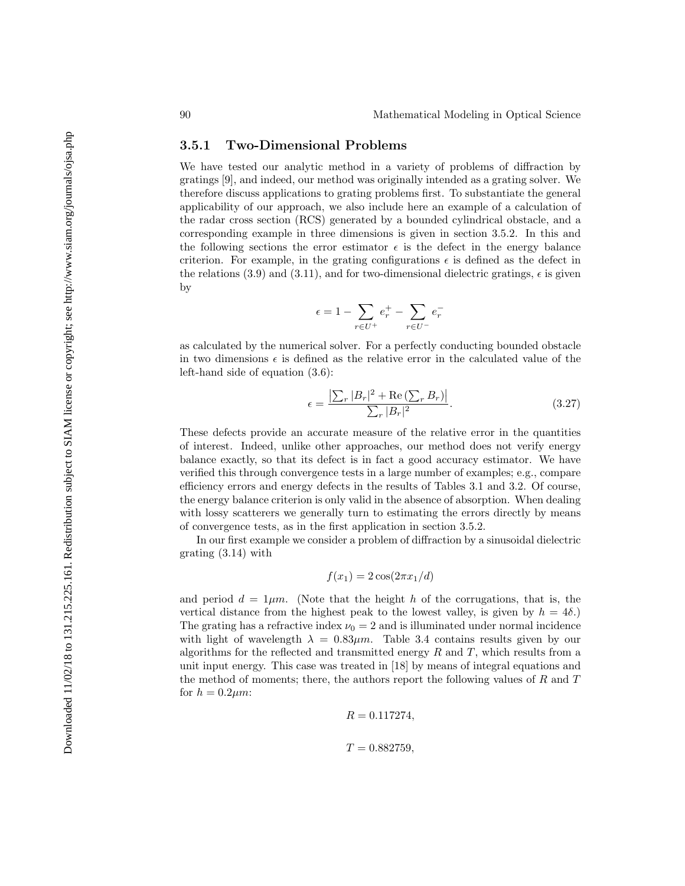#### **3.5.1 Two-Dimensional Problems**

We have tested our analytic method in a variety of problems of diffraction by gratings [9], and indeed, our method was originally intended as a grating solver. We therefore discuss applications to grating problems first. To substantiate the general applicability of our approach, we also include here an example of a calculation of the radar cross section (RCS) generated by a bounded cylindrical obstacle, and a corresponding example in three dimensions is given in section 3.5.2. In this and the following sections the error estimator  $\epsilon$  is the defect in the energy balance criterion. For example, in the grating configurations  $\epsilon$  is defined as the defect in the relations (3.9) and (3.11), and for two-dimensional dielectric gratings,  $\epsilon$  is given by

$$
\epsilon=1-\sum_{r\in U^+}e_r^+-\sum_{r\in U^-}e_r^-
$$

as calculated by the numerical solver. For a perfectly conducting bounded obstacle in two dimensions  $\epsilon$  is defined as the relative error in the calculated value of the left-hand side of equation (3.6):

$$
\epsilon = \frac{\left|\sum_{r} |B_r|^2 + \text{Re}\left(\sum_{r} B_r\right)\right|}{\sum_{r} |B_r|^2}.\tag{3.27}
$$

These defects provide an accurate measure of the relative error in the quantities of interest. Indeed, unlike other approaches, our method does not verify energy balance exactly, so that its defect is in fact a good accuracy estimator. We have verified this through convergence tests in a large number of examples; e.g., compare efficiency errors and energy defects in the results of Tables 3.1 and 3.2. Of course, the energy balance criterion is only valid in the absence of absorption. When dealing with lossy scatterers we generally turn to estimating the errors directly by means of convergence tests, as in the first application in section 3.5.2.

In our first example we consider a problem of diffraction by a sinusoidal dielectric grating (3.14) with

$$
f(x_1) = 2\cos(2\pi x_1/d)
$$

and period  $d = 1 \mu m$ . (Note that the height h of the corrugations, that is, the vertical distance from the highest peak to the lowest valley, is given by  $h = 4\delta$ .) The grating has a refractive index  $\nu_0 = 2$  and is illuminated under normal incidence with light of wavelength  $\lambda = 0.83 \mu m$ . Table 3.4 contains results given by our algorithms for the reflected and transmitted energy  $R$  and  $T$ , which results from a unit input energy. This case was treated in [18] by means of integral equations and the method of moments; there, the authors report the following values of  $R$  and  $T$ for  $h = 0.2 \mu m$ :

$$
R = 0.117274,
$$

$$
T = 0.882759,
$$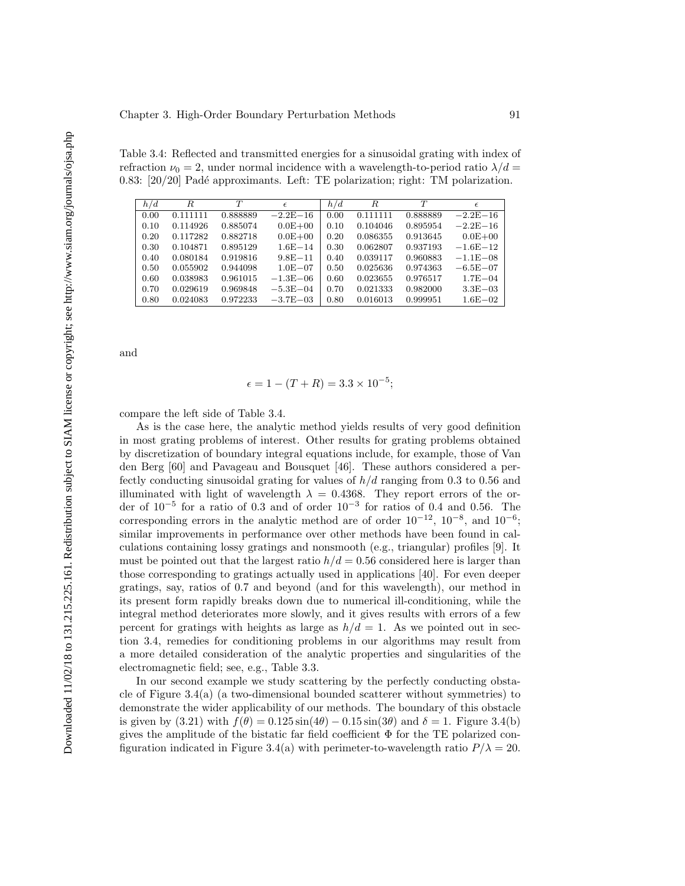Table 3.4: Reflected and transmitted energies for a sinusoidal grating with index of refraction  $\nu_0 = 2$ , under normal incidence with a wavelength-to-period ratio  $\lambda/d =$ 0.83: [20/20] Padé approximants. Left: TE polarization; right: TM polarization.

| h/d  | R.       | T        | $\epsilon$   | h/d  | R        | T        | $\epsilon$   |
|------|----------|----------|--------------|------|----------|----------|--------------|
| 0.00 | 0.111111 | 0.888889 | $-2.2E-16$   | 0.00 | 0.111111 | 0.888889 | $-2.2E-16$   |
| 0.10 | 0.114926 | 0.885074 | $0.0E + 00$  | 0.10 | 0.104046 | 0.895954 | $-2.2E-16$   |
| 0.20 | 0.117282 | 0.882718 | $0.0E + 00$  | 0.20 | 0.086355 | 0.913645 | $0.0E + 00$  |
| 0.30 | 0.104871 | 0.895129 | $1.6E - 14$  | 0.30 | 0.062807 | 0.937193 | $-1.6E-12$   |
| 0.40 | 0.080184 | 0.919816 | $9.8E - 11$  | 0.40 | 0.039117 | 0.960883 | $-1.1E - 08$ |
| 0.50 | 0.055902 | 0.944098 | $1.0E - 07$  | 0.50 | 0.025636 | 0.974363 | $-6.5E - 07$ |
| 0.60 | 0.038983 | 0.961015 | $-1.3E - 06$ | 0.60 | 0.023655 | 0.976517 | $1.7E - 04$  |
| 0.70 | 0.029619 | 0.969848 | $-5.3E - 04$ | 0.70 | 0.021333 | 0.982000 | $3.3E - 0.3$ |
| 0.80 | 0.024083 | 0.972233 | $-3.7E - 03$ | 0.80 | 0.016013 | 0.999951 | $1.6E - 02$  |

and

$$
\epsilon = 1 - (T + R) = 3.3 \times 10^{-5};
$$

compare the left side of Table 3.4.

As is the case here, the analytic method yields results of very good definition in most grating problems of interest. Other results for grating problems obtained by discretization of boundary integral equations include, for example, those of Van den Berg [60] and Pavageau and Bousquet [46]. These authors considered a perfectly conducting sinusoidal grating for values of  $h/d$  ranging from 0.3 to 0.56 and illuminated with light of wavelength  $\lambda = 0.4368$ . They report errors of the order of 10−<sup>5</sup> for a ratio of 0.3 and of order 10−<sup>3</sup> for ratios of 0.4 and 0.56. The corresponding errors in the analytic method are of order  $10^{-12}$ ,  $10^{-8}$ , and  $10^{-6}$ ; similar improvements in performance over other methods have been found in calculations containing lossy gratings and nonsmooth (e.g., triangular) profiles [9]. It must be pointed out that the largest ratio  $h/d = 0.56$  considered here is larger than those corresponding to gratings actually used in applications [40]. For even deeper gratings, say, ratios of 0.7 and beyond (and for this wavelength), our method in its present form rapidly breaks down due to numerical ill-conditioning, while the integral method deteriorates more slowly, and it gives results with errors of a few percent for gratings with heights as large as  $h/d = 1$ . As we pointed out in section 3.4, remedies for conditioning problems in our algorithms may result from a more detailed consideration of the analytic properties and singularities of the electromagnetic field; see, e.g., Table 3.3.

In our second example we study scattering by the perfectly conducting obstacle of Figure 3.4(a) (a two-dimensional bounded scatterer without symmetries) to demonstrate the wider applicability of our methods. The boundary of this obstacle is given by (3.21) with  $f(\theta)=0.125 \sin(4\theta) - 0.15 \sin(3\theta)$  and  $\delta = 1$ . Figure 3.4(b) gives the amplitude of the bistatic far field coefficient  $\Phi$  for the TE polarized configuration indicated in Figure 3.4(a) with perimeter-to-wavelength ratio  $P/\lambda = 20$ .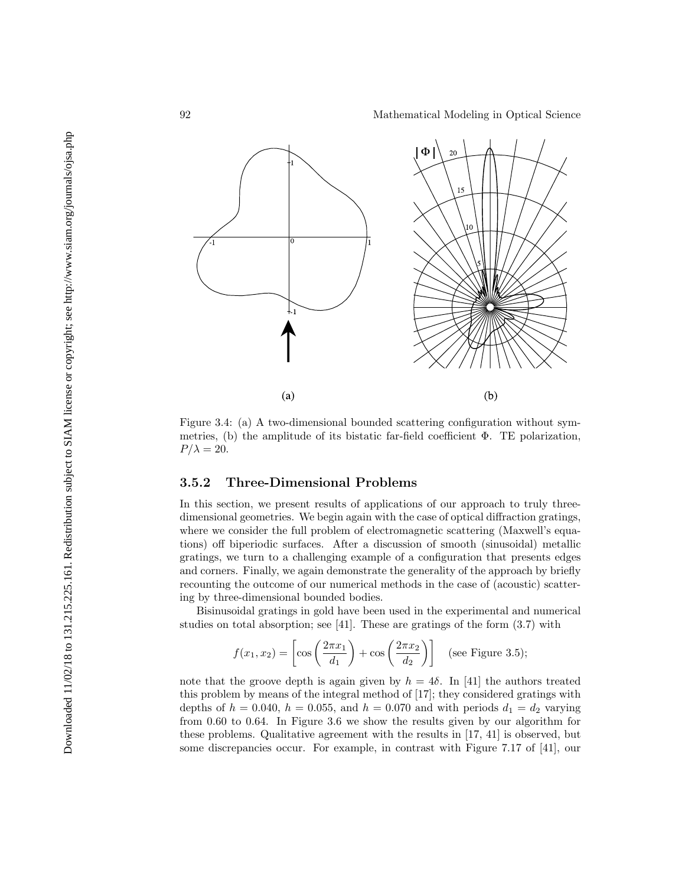

Figure 3.4: (a) A two-dimensional bounded scattering configuration without symmetries, (b) the amplitude of its bistatic far-field coefficient Φ. TE polarization,  $P/\lambda = 20$ .

#### **3.5.2 Three-Dimensional Problems**

In this section, we present results of applications of our approach to truly threedimensional geometries. We begin again with the case of optical diffraction gratings, where we consider the full problem of electromagnetic scattering (Maxwell's equations) off biperiodic surfaces. After a discussion of smooth (sinusoidal) metallic gratings, we turn to a challenging example of a configuration that presents edges and corners. Finally, we again demonstrate the generality of the approach by briefly recounting the outcome of our numerical methods in the case of (acoustic) scattering by three-dimensional bounded bodies.

Bisinusoidal gratings in gold have been used in the experimental and numerical studies on total absorption; see [41]. These are gratings of the form (3.7) with

$$
f(x_1, x_2) = \left[\cos\left(\frac{2\pi x_1}{d_1}\right) + \cos\left(\frac{2\pi x_2}{d_2}\right)\right]
$$
 (see Figure 3.5);

note that the groove depth is again given by  $h = 4\delta$ . In [41] the authors treated this problem by means of the integral method of [17]; they considered gratings with depths of  $h = 0.040$ ,  $h = 0.055$ , and  $h = 0.070$  and with periods  $d_1 = d_2$  varying from 0.60 to 0.64. In Figure 3.6 we show the results given by our algorithm for these problems. Qualitative agreement with the results in [17, 41] is observed, but some discrepancies occur. For example, in contrast with Figure 7.17 of [41], our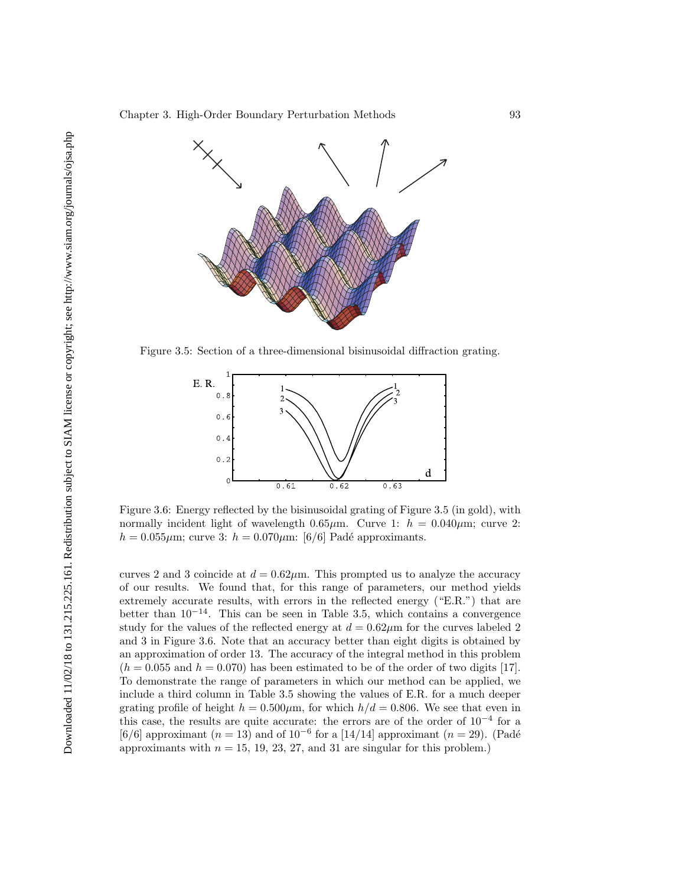

Figure 3.5: Section of a three-dimensional bisinusoidal diffraction grating.



Figure 3.6: Energy reflected by the bisinusoidal grating of Figure 3.5 (in gold), with normally incident light of wavelength  $0.65\mu$ m. Curve 1:  $h = 0.040\mu$ m; curve 2:  $h = 0.055 \mu$ m; curve 3:  $h = 0.070 \mu$ m: [6/6] Padé approximants.

curves 2 and 3 coincide at  $d = 0.62 \mu$ m. This prompted us to analyze the accuracy of our results. We found that, for this range of parameters, our method yields extremely accurate results, with errors in the reflected energy ("E.R.") that are better than  $10^{-14}$ . This can be seen in Table 3.5, which contains a convergence study for the values of the reflected energy at  $d = 0.62 \mu m$  for the curves labeled 2 and 3 in Figure 3.6. Note that an accuracy better than eight digits is obtained by an approximation of order 13. The accuracy of the integral method in this problem  $(h = 0.055$  and  $h = 0.070$ ) has been estimated to be of the order of two digits [17]. To demonstrate the range of parameters in which our method can be applied, we include a third column in Table 3.5 showing the values of E.R. for a much deeper grating profile of height  $h = 0.500 \mu \text{m}$ , for which  $h/d = 0.806$ . We see that even in this case, the results are quite accurate: the errors are of the order of  $10^{-4}$  for a [6/6] approximant (n = 13) and of 10<sup>-6</sup> for a [14/14] approximant (n = 29). (Padé approximants with  $n = 15, 19, 23, 27,$  and 31 are singular for this problem.)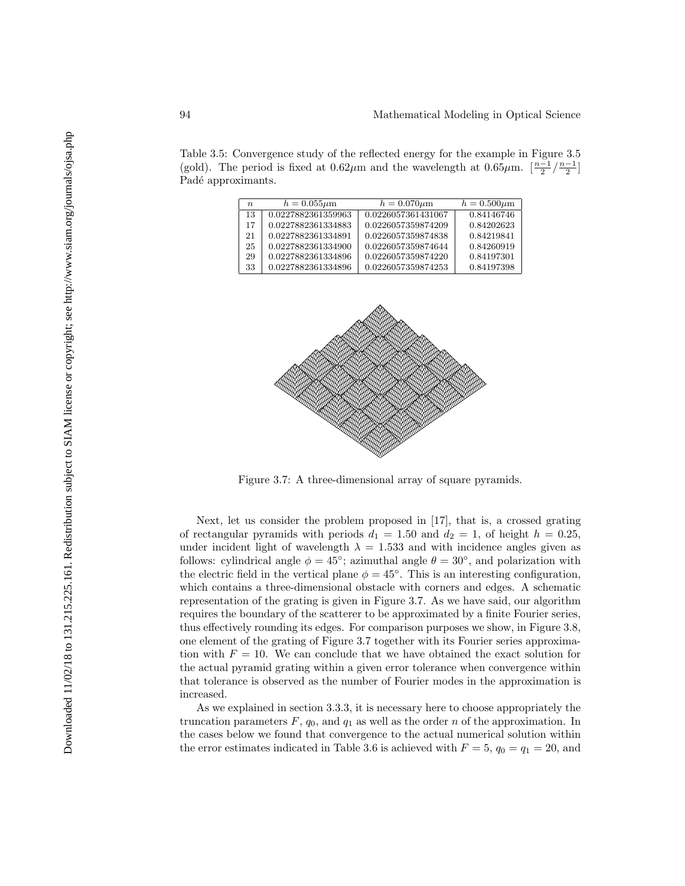Table 3.5: Convergence study of the reflected energy for the example in Figure 3.5 (gold). The period is fixed at  $0.62\mu$ m and the wavelength at  $0.65\mu$ m.  $\left[\frac{n-1}{2}/\frac{n-1}{2}\right]$ Padé approximants.

| $\boldsymbol{n}$ | $h = 0.055 \mu m$  | $h = 0.070 \mu m$  | $h = 0.500 \mu m$ |
|------------------|--------------------|--------------------|-------------------|
| 13               | 0.0227882361359963 | 0.0226057361431067 | 0.84146746        |
| 17               | 0.0227882361334883 | 0.0226057359874209 | 0.84202623        |
| 21               | 0.0227882361334891 | 0.0226057359874838 | 0.84219841        |
| 25               | 0.0227882361334900 | 0.0226057359874644 | 0.84260919        |
| 29               | 0.0227882361334896 | 0.0226057359874220 | 0.84197301        |
| 33               | 0.0227882361334896 | 0.0226057359874253 | 0.84197398        |



Figure 3.7: A three-dimensional array of square pyramids.

Next, let us consider the problem proposed in [17], that is, a crossed grating of rectangular pyramids with periods  $d_1 = 1.50$  and  $d_2 = 1$ , of height  $h = 0.25$ , under incident light of wavelength  $\lambda = 1.533$  and with incidence angles given as follows: cylindrical angle  $\phi = 45^{\circ}$ ; azimuthal angle  $\theta = 30^{\circ}$ , and polarization with the electric field in the vertical plane  $\phi = 45^\circ$ . This is an interesting configuration, which contains a three-dimensional obstacle with corners and edges. A schematic representation of the grating is given in Figure 3.7. As we have said, our algorithm requires the boundary of the scatterer to be approximated by a finite Fourier series, thus effectively rounding its edges. For comparison purposes we show, in Figure 3.8, one element of the grating of Figure 3.7 together with its Fourier series approximation with  $F = 10$ . We can conclude that we have obtained the exact solution for the actual pyramid grating within a given error tolerance when convergence within that tolerance is observed as the number of Fourier modes in the approximation is increased.

As we explained in section 3.3.3, it is necessary here to choose appropriately the truncation parameters  $F$ ,  $q_0$ , and  $q_1$  as well as the order n of the approximation. In the cases below we found that convergence to the actual numerical solution within the error estimates indicated in Table 3.6 is achieved with  $F = 5$ ,  $q_0 = q_1 = 20$ , and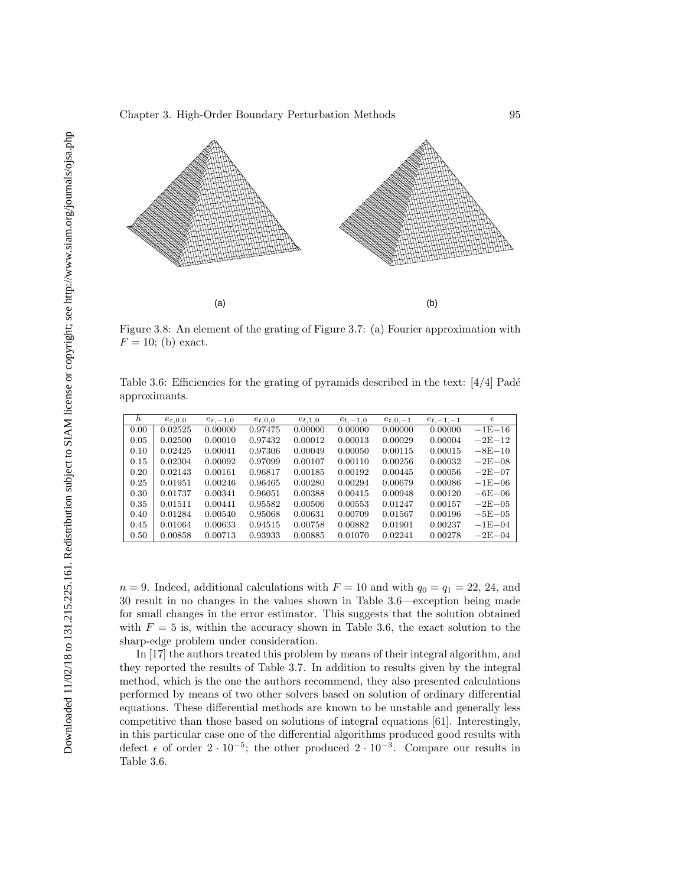



Figure 3.8: An element of the grating of Figure 3.7: (a) Fourier approximation with  $F = 10$ ; (b) exact.

Table 3.6: Efficiencies for the grating of pyramids described in the text:  $[4/4]$  Padé approximants.

| $\boldsymbol{h}$ | $e_{r,0,0}$ | $e_{r,-1,0}$ | $e_{t,0,0}$ | $e_{t,1,0}$ | $e_{t,-1,0}$ | $e_{t,0,-1}$ | $e_{t,-1,-1}$ | $\epsilon$ |
|------------------|-------------|--------------|-------------|-------------|--------------|--------------|---------------|------------|
| 0.00             | 0.02525     | 0.00000      | 0.97475     | 0.00000     | 0.00000      | 0.00000      | 0.00000       | $-1E-16$   |
| 0.05             | 0.02500     | 0.00010      | 0.97432     | 0.00012     | 0.00013      | 0.00029      | 0.00004       | $-2E-12$   |
| 0.10             | 0.02425     | 0.00041      | 0.97306     | 0.00049     | 0.00050      | 0.00115      | 0.00015       | $-8E-10$   |
| 0.15             | 0.02304     | 0.00092      | 0.97099     | 0.00107     | 0.00110      | 0.00256      | 0.00032       | $-2E-08$   |
| 0.20             | 0.02143     | 0.00161      | 0.96817     | 0.00185     | 0.00192      | 0.00445      | 0.00056       | $-2E-07$   |
| 0.25             | 0.01951     | 0.00246      | 0.96465     | 0.00280     | 0.00294      | 0.00679      | 0.00086       | $-1E-06$   |
| 0.30             | 0.01737     | 0.00341      | 0.96051     | 0.00388     | 0.00415      | 0.00948      | 0.00120       | $-6E-06$   |
| 0.35             | 0.01511     | 0.00441      | 0.95582     | 0.00506     | 0.00553      | 0.01247      | 0.00157       | $-2E-05$   |
| 0.40             | 0.01284     | 0.00540      | 0.95068     | 0.00631     | 0.00709      | 0.01567      | 0.00196       | $-5E - 05$ |
| 0.45             | 0.01064     | 0.00633      | 0.94515     | 0.00758     | 0.00882      | 0.01901      | 0.00237       | $-1E-04$   |
| 0.50             | 0.00858     | 0.00713      | 0.93933     | 0.00885     | 0.01070      | 0.02241      | 0.00278       | $-2E-04$   |

 $n = 9$ . Indeed, additional calculations with  $F = 10$  and with  $q_0 = q_1 = 22, 24,$  and 30 result in no changes in the values shown in Table 3.6—exception being made for small changes in the error estimator. This suggests that the solution obtained with  $F = 5$  is, within the accuracy shown in Table 3.6, the exact solution to the sharp-edge problem under consideration.

In [17] the authors treated this problem by means of their integral algorithm, and they reported the results of Table 3.7. In addition to results given by the integral method, which is the one the authors recommend, they also presented calculations performed by means of two other solvers based on solution of ordinary differential equations. These differential methods are known to be unstable and generally less competitive than those based on solutions of integral equations [61]. Interestingly, in this particular case one of the differential algorithms produced good results with defect  $\epsilon$  of order 2 · 10<sup>-5</sup>; the other produced 2 · 10<sup>-3</sup>. Compare our results in Table 3.6.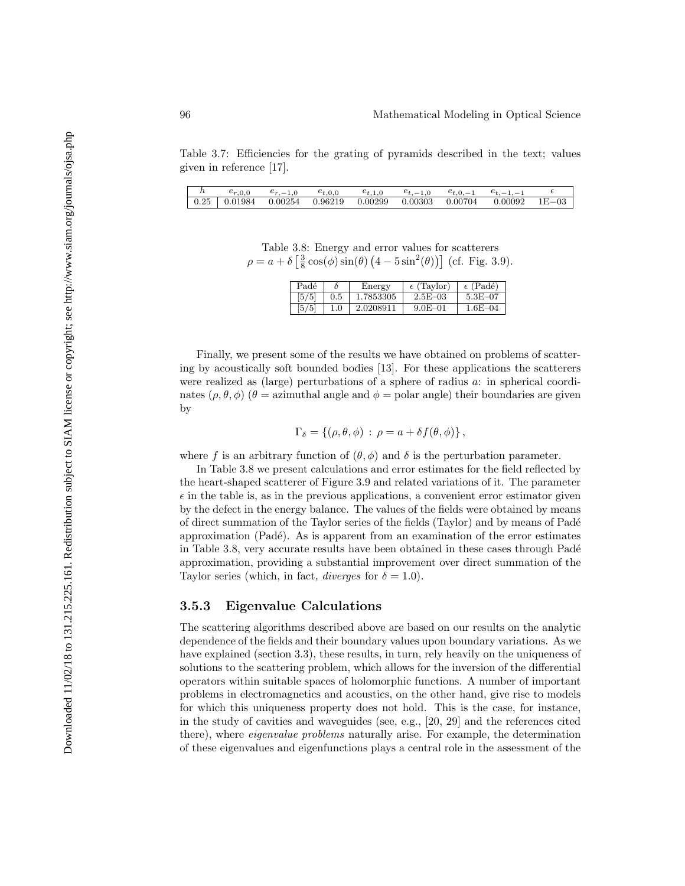Table 3.7: Efficiencies for the grating of pyramids described in the text; values given in reference [17].

| $e_{r,0,0}$ | $e_{r,-1,0}$ $e_{t,0,0}$ $e_{t,1,0}$ $e_{t,-1,0}$ $e_{t,0,-1}$ $e_{t,-1,-1}$ |  |  |                                                                       |  |
|-------------|------------------------------------------------------------------------------|--|--|-----------------------------------------------------------------------|--|
|             |                                                                              |  |  | $0.025$ 0.01984 0.00254 0.96219 0.00299 0.00303 0.00704 0.00092 1E-03 |  |

Table 3.8: Energy and error values for scatterers  $\rho = a + \delta \left[ \frac{3}{8} \cos(\phi) \sin(\theta) (4 - 5 \sin^2(\theta)) \right]$  (cf. Fig. 3.9).

| Padé              |         | Energy    | (Tavlor)    | (Padé)      |
|-------------------|---------|-----------|-------------|-------------|
| (5/5)             | $0.5\,$ | 1.7853305 | $2.5E - 03$ | $5.3E - 07$ |
| $\vert 5/5 \vert$ |         | 2.0208911 | $9.0E - 01$ | 1.6E–04     |

Finally, we present some of the results we have obtained on problems of scattering by acoustically soft bounded bodies [13]. For these applications the scatterers were realized as (large) perturbations of a sphere of radius a: in spherical coordinates  $(\rho, \theta, \phi)$  ( $\theta =$  azimuthal angle and  $\phi =$  polar angle) their boundaries are given by

$$
\Gamma_{\delta} = \{(\rho, \theta, \phi) : \rho = a + \delta f(\theta, \phi)\},\
$$

where f is an arbitrary function of  $(\theta, \phi)$  and  $\delta$  is the perturbation parameter.

In Table 3.8 we present calculations and error estimates for the field reflected by the heart-shaped scatterer of Figure 3.9 and related variations of it. The parameter  $\epsilon$  in the table is, as in the previous applications, a convenient error estimator given by the defect in the energy balance. The values of the fields were obtained by means of direct summation of the Taylor series of the fields (Taylor) and by means of Pad´e approximation (Pad´e). As is apparent from an examination of the error estimates in Table 3.8, very accurate results have been obtained in these cases through Padé approximation, providing a substantial improvement over direct summation of the Taylor series (which, in fact, *diverges* for  $\delta = 1.0$ ).

#### **3.5.3 Eigenvalue Calculations**

The scattering algorithms described above are based on our results on the analytic dependence of the fields and their boundary values upon boundary variations. As we have explained (section 3.3), these results, in turn, rely heavily on the uniqueness of solutions to the scattering problem, which allows for the inversion of the differential operators within suitable spaces of holomorphic functions. A number of important problems in electromagnetics and acoustics, on the other hand, give rise to models for which this uniqueness property does not hold. This is the case, for instance, in the study of cavities and waveguides (see, e.g., [20, 29] and the references cited there), where eigenvalue problems naturally arise. For example, the determination of these eigenvalues and eigenfunctions plays a central role in the assessment of the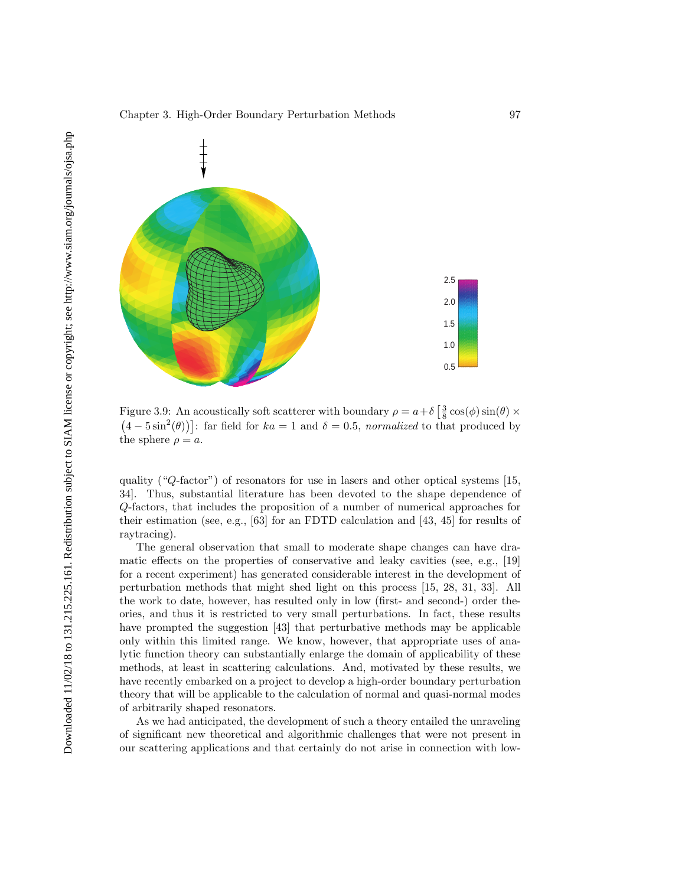

Figure 3.9: An acoustically soft scatterer with boundary  $\rho = a + \delta \left[ \frac{3}{8} \cos(\phi) \sin(\theta) \times \right]$  $(4-5\sin^2(\theta))$ : far field for  $ka=1$  and  $\delta=0.5$ , normalized to that produced by the sphere  $\rho = a$ .

quality ("Q-factor") of resonators for use in lasers and other optical systems [15, 34]. Thus, substantial literature has been devoted to the shape dependence of Q-factors, that includes the proposition of a number of numerical approaches for their estimation (see, e.g., [63] for an FDTD calculation and [43, 45] for results of raytracing).

The general observation that small to moderate shape changes can have dramatic effects on the properties of conservative and leaky cavities (see, e.g., [19] for a recent experiment) has generated considerable interest in the development of perturbation methods that might shed light on this process [15, 28, 31, 33]. All the work to date, however, has resulted only in low (first- and second-) order theories, and thus it is restricted to very small perturbations. In fact, these results have prompted the suggestion [43] that perturbative methods may be applicable only within this limited range. We know, however, that appropriate uses of analytic function theory can substantially enlarge the domain of applicability of these methods, at least in scattering calculations. And, motivated by these results, we have recently embarked on a project to develop a high-order boundary perturbation theory that will be applicable to the calculation of normal and quasi-normal modes of arbitrarily shaped resonators.

As we had anticipated, the development of such a theory entailed the unraveling of significant new theoretical and algorithmic challenges that were not present in our scattering applications and that certainly do not arise in connection with low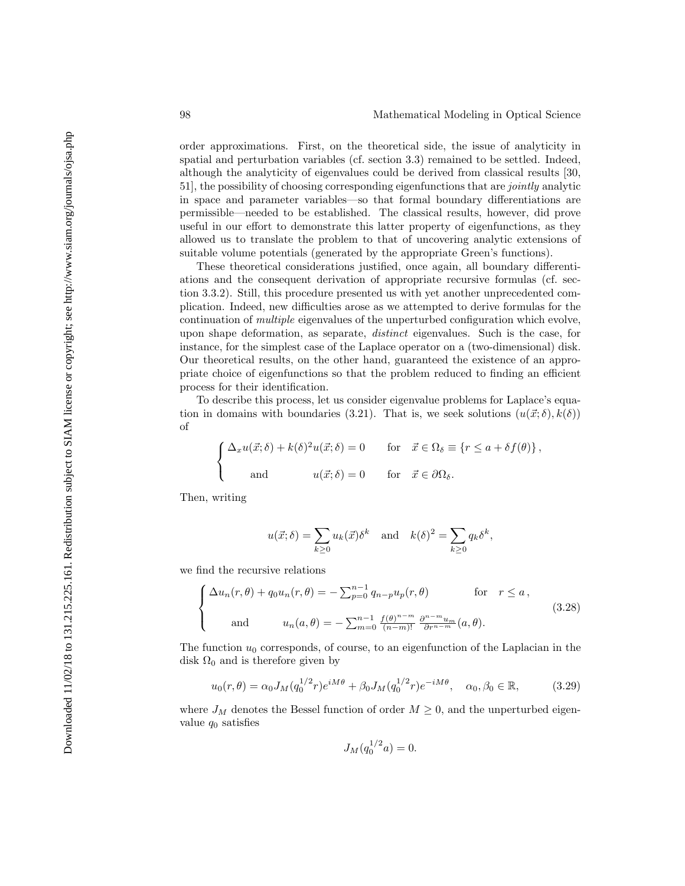order approximations. First, on the theoretical side, the issue of analyticity in spatial and perturbation variables (cf. section 3.3) remained to be settled. Indeed, although the analyticity of eigenvalues could be derived from classical results [30, 51], the possibility of choosing corresponding eigenfunctions that are jointly analytic in space and parameter variables—so that formal boundary differentiations are permissible—needed to be established. The classical results, however, did prove useful in our effort to demonstrate this latter property of eigenfunctions, as they allowed us to translate the problem to that of uncovering analytic extensions of suitable volume potentials (generated by the appropriate Green's functions).

These theoretical considerations justified, once again, all boundary differentiations and the consequent derivation of appropriate recursive formulas (cf. section 3.3.2). Still, this procedure presented us with yet another unprecedented complication. Indeed, new difficulties arose as we attempted to derive formulas for the continuation of multiple eigenvalues of the unperturbed configuration which evolve, upon shape deformation, as separate, distinct eigenvalues. Such is the case, for instance, for the simplest case of the Laplace operator on a (two-dimensional) disk. Our theoretical results, on the other hand, guaranteed the existence of an appropriate choice of eigenfunctions so that the problem reduced to finding an efficient process for their identification.

To describe this process, let us consider eigenvalue problems for Laplace's equation in domains with boundaries (3.21). That is, we seek solutions  $(u(\vec{x}; \delta), k(\delta))$ of

$$
\begin{cases} \Delta_x u(\vec{x}; \delta) + k(\delta)^2 u(\vec{x}; \delta) = 0 & \text{for } \vec{x} \in \Omega_{\delta} \equiv \{r \le a + \delta f(\theta)\}, \\ \text{and} & u(\vec{x}; \delta) = 0 & \text{for } \vec{x} \in \partial\Omega_{\delta}. \end{cases}
$$

Then, writing

$$
u(\vec{x};\delta) = \sum_{k\geq 0} u_k(\vec{x})\delta^k \quad \text{and} \quad k(\delta)^2 = \sum_{k\geq 0} q_k \delta^k,
$$

we find the recursive relations

$$
\begin{cases}\n\Delta u_n(r,\theta) + q_0 u_n(r,\theta) = -\sum_{p=0}^{n-1} q_{n-p} u_p(r,\theta) & \text{for } r \le a, \\
\text{and} & u_n(a,\theta) = -\sum_{m=0}^{n-1} \frac{f(\theta)^{n-m}}{(n-m)!} \frac{\partial^{n-m} u_m}{\partial r^{n-m}}(a,\theta).\n\end{cases}
$$
\n(3.28)

The function  $u_0$  corresponds, of course, to an eigenfunction of the Laplacian in the disk  $\Omega_0$  and is therefore given by

$$
u_0(r,\theta) = \alpha_0 J_M(q_0^{1/2}r)e^{iM\theta} + \beta_0 J_M(q_0^{1/2}r)e^{-iM\theta}, \quad \alpha_0, \beta_0 \in \mathbb{R}, \tag{3.29}
$$

where  $J_M$  denotes the Bessel function of order  $M \geq 0$ , and the unperturbed eigenvalue  $q_0$  satisfies

$$
J_M(q_0^{1/2}a) = 0.
$$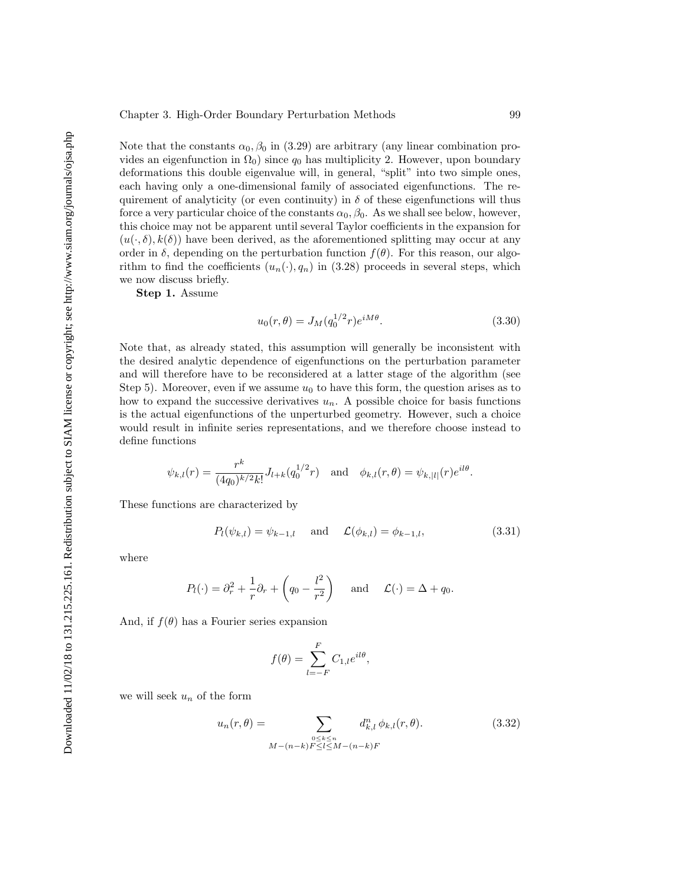Note that the constants  $\alpha_0$ ,  $\beta_0$  in (3.29) are arbitrary (any linear combination provides an eigenfunction in  $\Omega_0$ ) since  $q_0$  has multiplicity 2. However, upon boundary deformations this double eigenvalue will, in general, "split" into two simple ones, each having only a one-dimensional family of associated eigenfunctions. The requirement of analyticity (or even continuity) in  $\delta$  of these eigenfunctions will thus force a very particular choice of the constants  $\alpha_0, \beta_0$ . As we shall see below, however, this choice may not be apparent until several Taylor coefficients in the expansion for  $(u(\cdot,\delta), k(\delta))$  have been derived, as the aforementioned splitting may occur at any order in  $\delta$ , depending on the perturbation function  $f(\theta)$ . For this reason, our algorithm to find the coefficients  $(u_n(\cdot), q_n)$  in (3.28) proceeds in several steps, which we now discuss briefly.

**Step 1.** Assume

$$
u_0(r,\theta) = J_M(q_0^{1/2}r)e^{iM\theta}.
$$
\n(3.30)

Note that, as already stated, this assumption will generally be inconsistent with the desired analytic dependence of eigenfunctions on the perturbation parameter and will therefore have to be reconsidered at a latter stage of the algorithm (see Step 5). Moreover, even if we assume  $u_0$  to have this form, the question arises as to how to expand the successive derivatives  $u_n$ . A possible choice for basis functions is the actual eigenfunctions of the unperturbed geometry. However, such a choice would result in infinite series representations, and we therefore choose instead to define functions

$$
\psi_{k,l}(r) = \frac{r^k}{(4q_0)^{k/2}k!} J_{l+k}(q_0^{1/2}r) \text{ and } \phi_{k,l}(r,\theta) = \psi_{k,|l|}(r)e^{il\theta}.
$$

These functions are characterized by

$$
P_l(\psi_{k,l}) = \psi_{k-1,l}
$$
 and  $\mathcal{L}(\phi_{k,l}) = \phi_{k-1,l},$  (3.31)

where

$$
P_l(\cdot) = \partial_r^2 + \frac{1}{r}\partial_r + \left(q_0 - \frac{l^2}{r^2}\right)
$$
 and  $\mathcal{L}(\cdot) = \Delta + q_0$ .

And, if  $f(\theta)$  has a Fourier series expansion

$$
f(\theta) = \sum_{l=-F}^{F} C_{1,l} e^{il\theta},
$$

we will seek  $u_n$  of the form

$$
u_n(r,\theta) = \sum_{\substack{0 \le k \le n \\ M - (n-k)F \le l \le M - (n-k)F}} d_{k,l}^n \phi_{k,l}(r,\theta). \tag{3.32}
$$

Downloaded 11/02/18 to 131.215.225.161. Redistribution subject to SIAM license or copyright; see http://www.siam.org/journals/ojsa.php Downloaded 11/02/18 to 131.215.225.161. Redistribution subject to SIAM license or copyright; see http://www.siam.org/journals/ojsa.php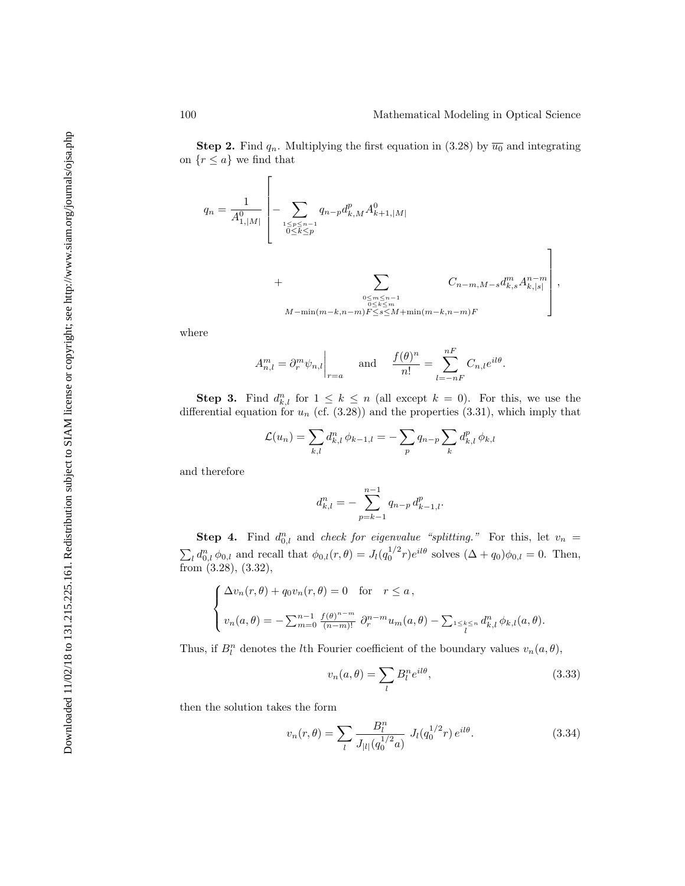**Step 2.** Find  $q_n$ . Multiplying the first equation in (3.28) by  $\overline{u_0}$  and integrating on  $\{r \leq a\}$  we find that

$$
q_{n} = \frac{1}{A_{1,|M|}^{0}} \left[ - \sum_{\substack{1 \leq p \leq n-1 \\ 0 \leq k \leq p}} q_{n-p} d_{k,M}^{p} A_{k+1,|M|}^{0} \right]
$$
  
+ 
$$
\sum_{\substack{0 \leq m \leq n-1 \\ 0 \leq k \leq m \\ 0 \leq k \leq m}} C_{n-m,M-s} d_{k,s}^{m} A_{k,|s|}^{n-m} \right],
$$
  

$$
M - \min(m-k, n-m) F \leq s \leq M + \min(m-k, n-m) F
$$

where

$$
A_{n,l}^m = \partial_r^m \psi_{n,l} \bigg|_{r=a} \quad \text{and} \quad \frac{f(\theta)^n}{n!} = \sum_{l=-n}^{n} C_{n,l} e^{il\theta}.
$$

**Step 3.** Find  $d_{k,l}^n$  for  $1 \leq k \leq n$  (all except  $k = 0$ ). For this, we use the differential equation for  $u_n$  (cf. (3.28)) and the properties (3.31), which imply that

$$
\mathcal{L}(u_n) = \sum_{k,l} d_{k,l}^n \phi_{k-1,l} = -\sum_p q_{n-p} \sum_k d_{k,l}^p \phi_{k,l}
$$

and therefore

$$
d_{k,l}^n = -\sum_{p=k-1}^{n-1} q_{n-p} d_{k-1,l}^p.
$$

**Step 4.** Find  $d_{0,l}^n$  and *check for eigenvalue "splitting."* For this, let  $v_n =$  $\sum_l d_{0,l}^n \phi_{0,l}$  and recall that  $\phi_{0,l}(r,\theta) = J_l(q_0^{1/2}r)e^{il\theta}$  solves  $(\Delta + q_0)\phi_{0,l} = 0$ . Then, from (3.28), (3.32),

$$
\begin{cases}\n\Delta v_n(r,\theta) + q_0 v_n(r,\theta) = 0 & \text{for } r \le a, \\
v_n(a,\theta) = -\sum_{m=0}^{n-1} \frac{f(\theta)^{n-m}}{(n-m)!} \partial_r^{n-m} u_m(a,\theta) - \sum_{1 \le k \le n} d_{k,l}^n \phi_{k,l}(a,\theta).\n\end{cases}
$$

Thus, if  $B_l^n$  denotes the *l*th Fourier coefficient of the boundary values  $v_n(a, \theta)$ ,

$$
v_n(a,\theta) = \sum_l B_l^n e^{il\theta},\tag{3.33}
$$

then the solution takes the form

$$
v_n(r,\theta) = \sum_{l} \frac{B_l^n}{J_{|l|}(q_0^{1/2}a)} J_l(q_0^{1/2}r) e^{il\theta}.
$$
 (3.34)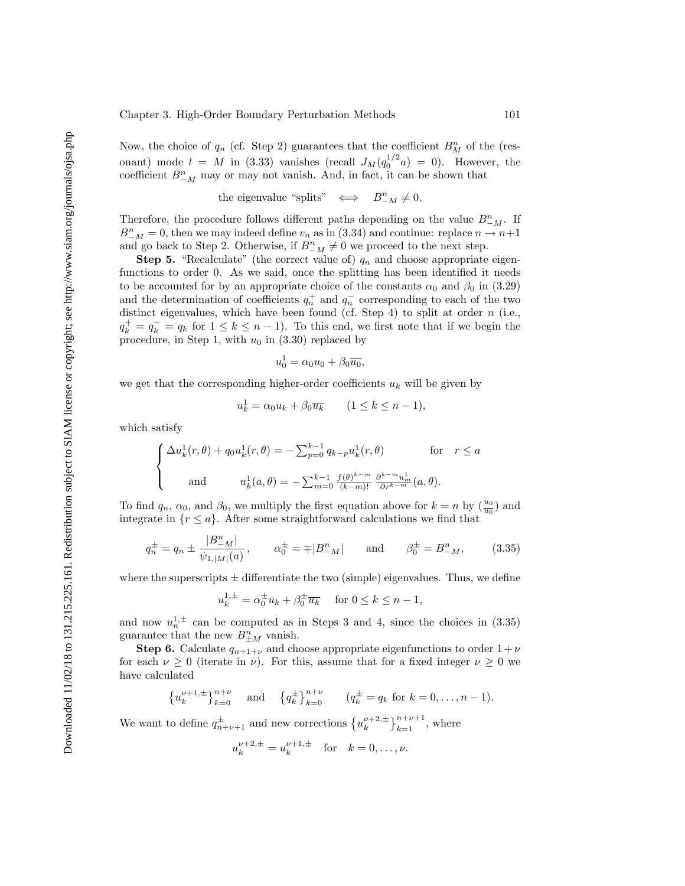#### Chapter 3. High-Order Boundary Perturbation Methods 101

Now, the choice of  $q_n$  (cf. Step 2) guarantees that the coefficient  $B^n_M$  of the (resonant) mode  $l = M$  in (3.33) vanishes (recall  $J_M(q_0^{1/2}a) = 0$ ). However, the coefficient  $B_{-M}^n$  may or may not vanish. And, in fact, it can be shown that

the eigenvalue "splits"  $\iff B_{-M}^n \neq 0.$ 

Therefore, the procedure follows different paths depending on the value  $B_{-M}^n$ . If  $B_{-M}^n = 0$ , then we may indeed define  $v_n$  as in (3.34) and continue: replace  $n \to n+1$ and go back to Step 2. Otherwise, if  $B_{-M}^n \neq 0$  we proceed to the next step.

**Step 5.** "Recalculate" (the correct value of)  $q_n$  and choose appropriate eigenfunctions to order 0. As we said, once the splitting has been identified it needs to be accounted for by an appropriate choice of the constants  $\alpha_0$  and  $\beta_0$  in (3.29) and the determination of coefficients  $q_n^+$  and  $q_n^-$  corresponding to each of the two distinct eigenvalues, which have been found (cf. Step 4) to split at order  $n$  (i.e.,  $q_k^+ = q_k^- = q_k$  for  $1 \leq k \leq n-1$ ). To this end, we first note that if we begin the procedure, in Step 1, with  $u_0$  in  $(3.30)$  replaced by

$$
u_0^1 = \alpha_0 u_0 + \beta_0 \overline{u_0},
$$

we get that the corresponding higher-order coefficients  $u_k$  will be given by

$$
u_k^1 = \alpha_0 u_k + \beta_0 \overline{u_k} \qquad (1 \le k \le n-1),
$$

which satisfy

$$
\begin{cases} \Delta u_k^1(r,\theta) + q_0 u_k^1(r,\theta) = -\sum_{p=0}^{k-1} q_{k-p} u_k^1(r,\theta) & \text{for } r \le a \\ \text{and} & u_k^1(a,\theta) = -\sum_{m=0}^{k-1} \frac{f(\theta)^{k-m}}{(k-m)!} \frac{\partial^{k-m} u_m^1}{\partial r^{k-m}}(a,\theta). \end{cases}
$$

To find  $q_n$ ,  $\alpha_0$ , and  $\beta_0$ , we multiply the first equation above for  $k = n$  by  $(\frac{u_0}{u_0})$  and integrate in  $\{r \leq a\}$ . After some straightforward calculations we find that

$$
q_n^{\pm} = q_n \pm \frac{|B_{-M}^n|}{\psi_{1,|M|}(a)}, \qquad \alpha_0^{\pm} = \mp |B_{-M}^n| \qquad \text{and} \qquad \beta_0^{\pm} = B_{-M}^n, \qquad (3.35)
$$

where the superscripts  $\pm$  differentiate the two (simple) eigenvalues. Thus, we define

$$
u_k^{1,\pm} = \alpha_0^{\pm} u_k + \beta_0^{\pm} \overline{u_k} \quad \text{ for } 0 \le k \le n-1,
$$

and now  $u_n^{1,\pm}$  can be computed as in Steps 3 and 4, since the choices in (3.35) guarantee that the new  $B_{\pm M}^n$  vanish.

**Step 6.** Calculate  $q_{n+1+\nu}$  and choose appropriate eigenfunctions to order  $1+\nu$ for each  $\nu \geq 0$  (iterate in  $\nu$ ). For this, assume that for a fixed integer  $\nu \geq 0$  we have calculated

$$
\{u_k^{\nu+1,\pm}\}_{k=0}^{n+\nu} \text{ and } \{q_k^{\pm}\}_{k=0}^{n+\nu} \text{ } (q_k^{\pm} = q_k \text{ for } k = 0, \ldots, n-1).
$$

We want to define  $q_{n+\nu+1}^{\pm}$  and new corrections  $\{u_k^{\nu+2,\pm}\}_{k=1}^{n+\nu+1}$ , where

$$
u_k^{\nu+2,\pm} = u_k^{\nu+1,\pm}
$$
 for  $k = 0, ..., \nu$ .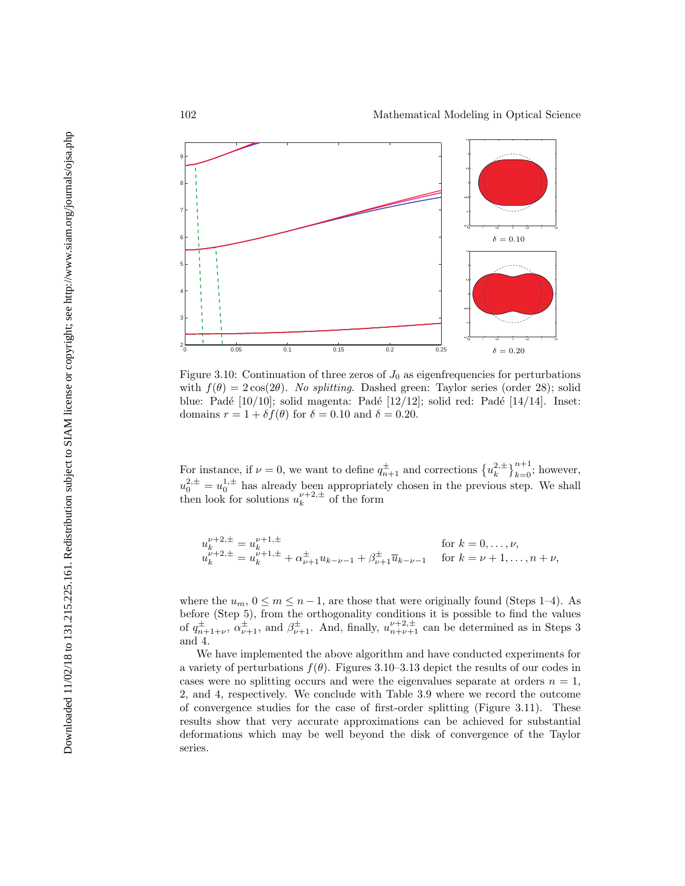

Figure 3.10: Continuation of three zeros of  $J_0$  as eigenfrequencies for perturbations with  $f(\theta) = 2\cos(2\theta)$ . No splitting. Dashed green: Taylor series (order 28); solid blue: Padé  $[10/10]$ ; solid magenta: Padé  $[12/12]$ ; solid red: Padé  $[14/14]$ . Inset: domains  $r = 1 + \delta f(\theta)$  for  $\delta = 0.10$  and  $\delta = 0.20$ .

For instance, if  $\nu = 0$ , we want to define  $q_{n+1}^{\pm}$  and corrections  $\{u_k^{2,\pm}\}_{k=0}^{n+1}$ ; however,  $u_0^{2,\pm} = u_0^{1,\pm}$  has already been appropriately chosen in the previous step. We shall then look for solutions  $u_k^{\nu+2,\pm}$  of the form

$$
u_k^{\nu+2,\pm} = u_k^{\nu+1,\pm} \qquad \text{for } k = 0, \dots, \nu,
$$
  
\n
$$
u_k^{\nu+2,\pm} = u_k^{\nu+1,\pm} + \alpha_{\nu+1}^{\pm} u_{k-\nu-1} + \beta_{\nu+1}^{\pm} \overline{u}_{k-\nu-1} \qquad \text{for } k = \nu+1, \dots, n+\nu,
$$

where the  $u_m$ ,  $0 \le m \le n-1$ , are those that were originally found (Steps 1–4). As before (Step 5), from the orthogonality conditions it is possible to find the values of  $q_{n+1+\nu}^{\pm}$ ,  $\alpha_{\nu+1}^{\pm}$ , and  $\beta_{\nu+1}^{\pm}$ . And, finally,  $u_{n+\nu+1}^{\nu+2,\pm}$  can be determined as in Steps 3 and 4.

We have implemented the above algorithm and have conducted experiments for a variety of perturbations  $f(\theta)$ . Figures 3.10–3.13 depict the results of our codes in cases were no splitting occurs and were the eigenvalues separate at orders  $n = 1$ , 2, and 4, respectively. We conclude with Table 3.9 where we record the outcome of convergence studies for the case of first-order splitting (Figure 3.11). These results show that very accurate approximations can be achieved for substantial deformations which may be well beyond the disk of convergence of the Taylor series.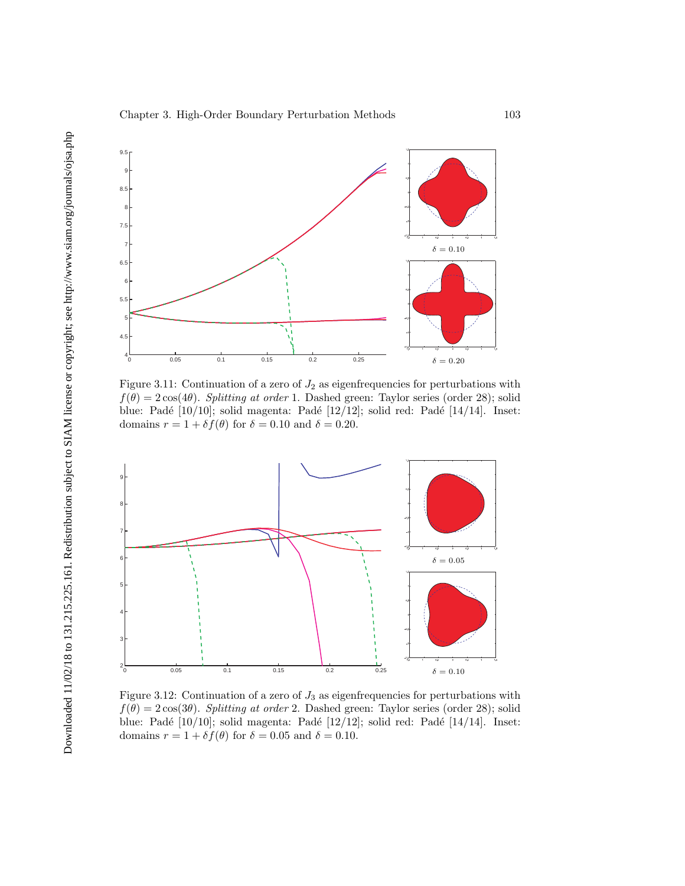



Figure 3.11: Continuation of a zero of  $J_2$  as eigenfrequencies for perturbations with  $f(\theta) = 2\cos(4\theta)$ . Splitting at order 1. Dashed green: Taylor series (order 28); solid blue: Padé  $[10/10]$ ; solid magenta: Padé  $[12/12]$ ; solid red: Padé  $[14/14]$ . Inset: domains  $r = 1 + \delta f(\theta)$  for  $\delta = 0.10$  and  $\delta = 0.20$ .



Figure 3.12: Continuation of a zero of  $J_3$  as eigenfrequencies for perturbations with  $f(\theta) = 2\cos(3\theta)$ . Splitting at order 2. Dashed green: Taylor series (order 28); solid blue: Padé  $[10/10]$ ; solid magenta: Padé  $[12/12]$ ; solid red: Padé  $[14/14]$ . Inset: domains  $r = 1 + \delta f(\theta)$  for  $\delta = 0.05$  and  $\delta = 0.10$ .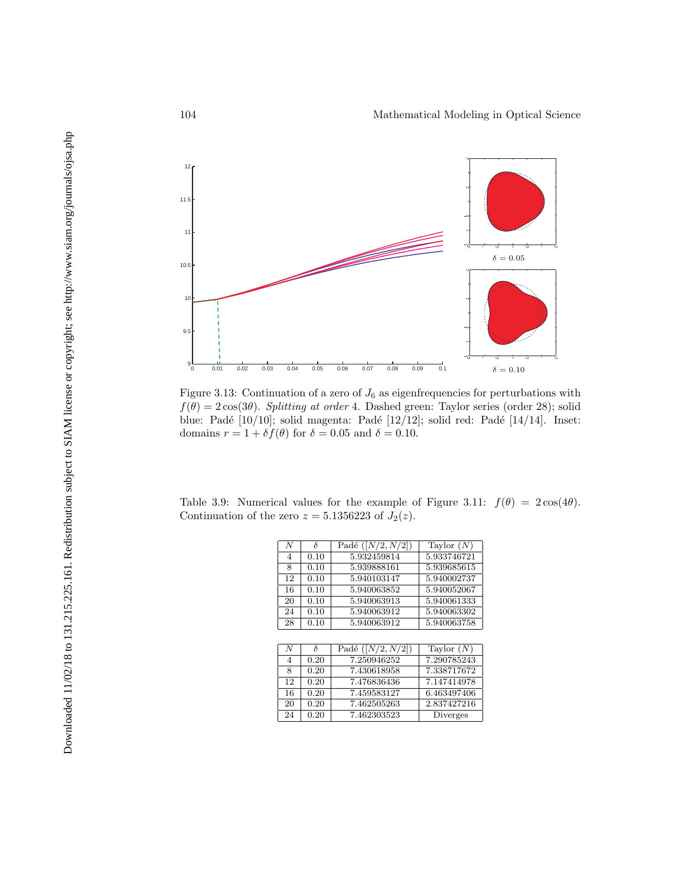

Figure 3.13: Continuation of a zero of  $J_6$  as eigenfrequencies for perturbations with  $f(\theta) = 2\cos(3\theta)$ . Splitting at order 4. Dashed green: Taylor series (order 28); solid blue: Padé  $[10/10]$ ; solid magenta: Padé  $[12/12]$ ; solid red: Padé  $[14/14]$ . Inset: domains  $r = 1 + \delta f(\theta)$  for  $\delta = 0.05$  and  $\delta = 0.10$ .

Table 3.9: Numerical values for the example of Figure 3.11:  $f(\theta) = 2\cos(4\theta)$ . Continuation of the zero  $z = 5.1356223$  of  $J_2(z)$ .

| N  | $\delta$ | Padé ([ $N/2, N/2$ ]) | $\overline{\text{Taylor}}(N)$ |
|----|----------|-----------------------|-------------------------------|
| 4  | 0.10     | 5.932459814           | 5.933746721                   |
| 8  | 0.10     | 5.939888161           | 5.939685615                   |
| 12 | 0.10     | 5.940103147           | 5.940002737                   |
| 16 | 0.10     | 5.940063852           | 5.940052067                   |
| 20 | 0.10     | 5.940063913           | 5.940061333                   |
| 24 | 0.10     | 5.940063912           | 5.940063302                   |
| 28 | 0.10     | 5.940063912           | 5.940063758                   |
|    |          |                       |                               |
| N  | δ        | Padé $([N/2, N/2])$   | Taylor $(N)$                  |
| 4  | 0.20     | 7.250946252           | 7.290785243                   |
| 8  | 0.20     | 7.430618958           | 7.338717672                   |
| 12 | 0.20     | 7.476836436           | 7.147414978                   |
| 16 | 0.20     | 7.459583127           | 6.463497406                   |
| 20 | 0.20     | 7.462505263           | 2.837427216                   |
| 24 | 0.20     | 7.462303523           | Diverges                      |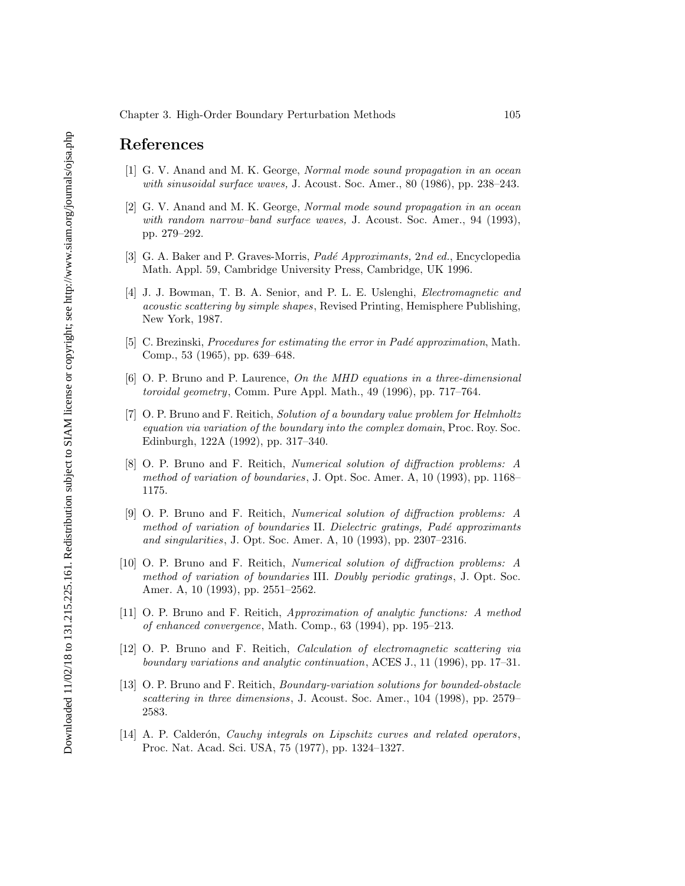## **References**

- [1] G. V. Anand and M. K. George, Normal mode sound propagation in an ocean with sinusoidal surface waves, J. Acoust. Soc. Amer., 80 (1986), pp. 238–243.
- [2] G. V. Anand and M. K. George, Normal mode sound propagation in an ocean with random narrow–band surface waves, J. Acoust. Soc. Amer., 94 (1993), pp. 279–292.
- [3] G. A. Baker and P. Graves-Morris, *Padé Approximants*, 2nd ed., Encyclopedia Math. Appl. 59, Cambridge University Press, Cambridge, UK 1996.
- [4] J. J. Bowman, T. B. A. Senior, and P. L. E. Uslenghi, Electromagnetic and acoustic scattering by simple shapes, Revised Printing, Hemisphere Publishing, New York, 1987.
- [5] C. Brezinski, *Procedures for estimating the error in Padé approximation*, Math. Comp., 53 (1965), pp. 639–648.
- [6] O. P. Bruno and P. Laurence, On the MHD equations in a three-dimensional toroidal geometry, Comm. Pure Appl. Math., 49 (1996), pp. 717–764.
- [7] O. P. Bruno and F. Reitich, Solution of a boundary value problem for Helmholtz equation via variation of the boundary into the complex domain, Proc. Roy. Soc. Edinburgh, 122A (1992), pp. 317–340.
- [8] O. P. Bruno and F. Reitich, Numerical solution of diffraction problems:A method of variation of boundaries, J. Opt. Soc. Amer. A, 10 (1993), pp. 1168– 1175.
- [9] O. P. Bruno and F. Reitich, Numerical solution of diffraction problems:A method of variation of boundaries II. Dielectric gratings, Padé approximants and singularities, J. Opt. Soc. Amer. A, 10 (1993), pp. 2307–2316.
- [10] O. P. Bruno and F. Reitich, Numerical solution of diffraction problems:A method of variation of boundaries III. Doubly periodic gratings, J. Opt. Soc. Amer. A, 10 (1993), pp. 2551–2562.
- [11] O. P. Bruno and F. Reitich, Approximation of analytic functions:A method of enhanced convergence, Math. Comp., 63 (1994), pp. 195–213.
- [12] O. P. Bruno and F. Reitich, Calculation of electromagnetic scattering via boundary variations and analytic continuation, ACES J., 11 (1996), pp. 17–31.
- [13] O. P. Bruno and F. Reitich, Boundary-variation solutions for bounded-obstacle scattering in three dimensions, J. Acoust. Soc. Amer., 104 (1998), pp. 2579– 2583.
- [14] A. P. Calderón, *Cauchy integrals on Lipschitz curves and related operators*, Proc. Nat. Acad. Sci. USA, 75 (1977), pp. 1324–1327.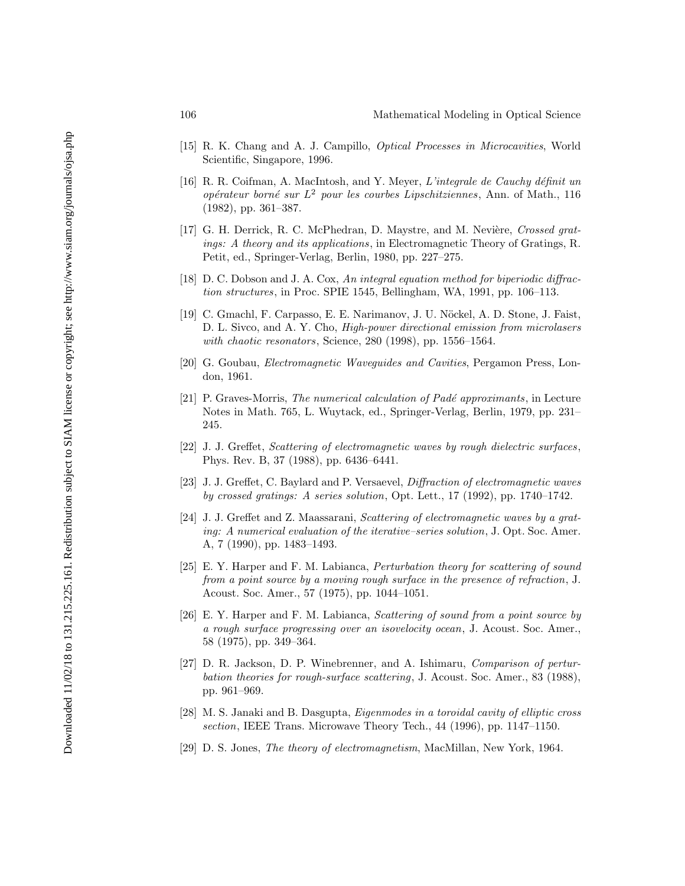- [15] R. K. Chang and A. J. Campillo, Optical Processes in Microcavities, World Scientific, Singapore, 1996.
- [16] R. R. Coifman, A. MacIntosh, and Y. Meyer, L'integrale de Cauchy définit un opérateur borné sur  $L^2$  pour les courbes Lipschitziennes, Ann. of Math., 116 (1982), pp. 361–387.
- [17] G. H. Derrick, R. C. McPhedran, D. Maystre, and M. Nevière, Crossed gratings: A theory and its applications, in Electromagnetic Theory of Gratings, R. Petit, ed., Springer-Verlag, Berlin, 1980, pp. 227–275.
- [18] D. C. Dobson and J. A. Cox, An integral equation method for biperiodic diffraction structures, in Proc. SPIE 1545, Bellingham, WA, 1991, pp. 106–113.
- [19] C. Gmachl, F. Carpasso, E. E. Narimanov, J. U. Nöckel, A. D. Stone, J. Faist, D. L. Sivco, and A. Y. Cho, High-power directional emission from microlasers with chaotic resonators, Science, 280 (1998), pp. 1556–1564.
- [20] G. Goubau, Electromagnetic Waveguides and Cavities, Pergamon Press, London, 1961.
- [21] P. Graves-Morris, *The numerical calculation of Padé approximants*, in Lecture Notes in Math. 765, L. Wuytack, ed., Springer-Verlag, Berlin, 1979, pp. 231– 245.
- [22] J. J. Greffet, Scattering of electromagnetic waves by rough dielectric surfaces, Phys. Rev. B, 37 (1988), pp. 6436–6441.
- [23] J. J. Greffet, C. Baylard and P. Versaevel, Diffraction of electromagnetic waves by crossed gratings: A series solution, Opt. Lett., 17 (1992), pp. 1740–1742.
- [24] J. J. Greffet and Z. Maassarani, Scattering of electromagnetic waves by a grating:A numerical evaluation of the iterative–series solution, J. Opt. Soc. Amer. A, 7 (1990), pp. 1483–1493.
- [25] E. Y. Harper and F. M. Labianca, Perturbation theory for scattering of sound from a point source by a moving rough surface in the presence of refraction, J. Acoust. Soc. Amer., 57 (1975), pp. 1044–1051.
- [26] E. Y. Harper and F. M. Labianca, Scattering of sound from a point source by a rough surface progressing over an isovelocity ocean, J. Acoust. Soc. Amer., 58 (1975), pp. 349–364.
- [27] D. R. Jackson, D. P. Winebrenner, and A. Ishimaru, Comparison of perturbation theories for rough-surface scattering, J. Acoust. Soc. Amer., 83 (1988), pp. 961–969.
- [28] M. S. Janaki and B. Dasgupta, Eigenmodes in a toroidal cavity of elliptic cross section, IEEE Trans. Microwave Theory Tech., 44 (1996), pp. 1147–1150.
- [29] D. S. Jones, The theory of electromagnetism, MacMillan, New York, 1964.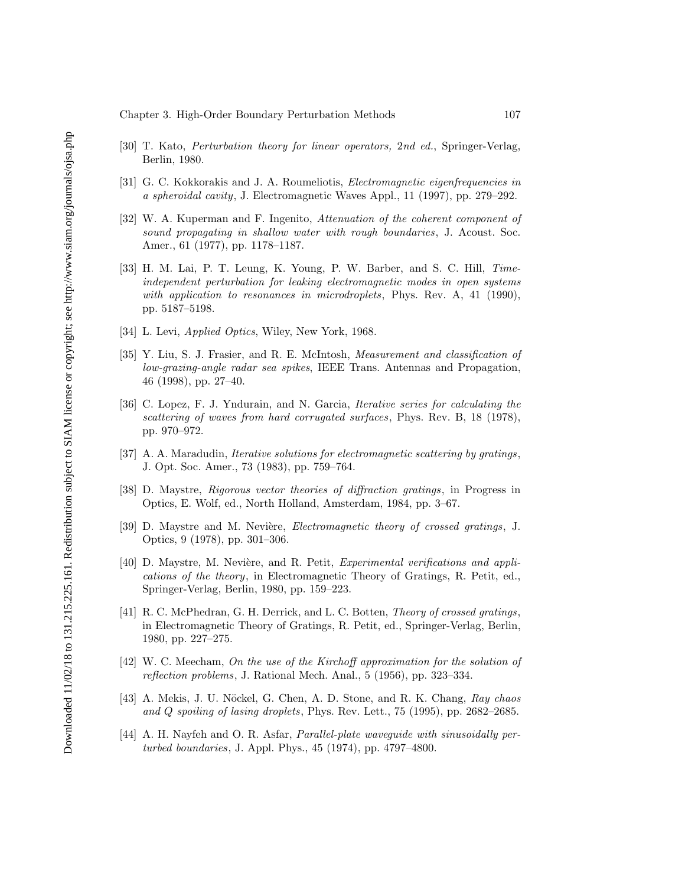- [30] T. Kato, Perturbation theory for linear operators, 2nd ed., Springer-Verlag, Berlin, 1980.
- [31] G. C. Kokkorakis and J. A. Roumeliotis, *Electromagnetic eigenfrequencies in* a spheroidal cavity, J. Electromagnetic Waves Appl., 11 (1997), pp. 279–292.
- [32] W. A. Kuperman and F. Ingenito, Attenuation of the coherent component of sound propagating in shallow water with rough boundaries, J. Acoust. Soc. Amer., 61 (1977), pp. 1178–1187.
- [33] H. M. Lai, P. T. Leung, K. Young, P. W. Barber, and S. C. Hill, Timeindependent perturbation for leaking electromagnetic modes in open systems with application to resonances in microdroplets, Phys. Rev. A, 41 (1990), pp. 5187–5198.
- [34] L. Levi, Applied Optics, Wiley, New York, 1968.
- [35] Y. Liu, S. J. Frasier, and R. E. McIntosh, Measurement and classification of low-grazing-angle radar sea spikes, IEEE Trans. Antennas and Propagation, 46 (1998), pp. 27–40.
- [36] C. Lopez, F. J. Yndurain, and N. Garcia, Iterative series for calculating the scattering of waves from hard corrugated surfaces, Phys. Rev. B, 18 (1978), pp. 970–972.
- [37] A. A. Maradudin, Iterative solutions for electromagnetic scattering by gratings, J. Opt. Soc. Amer., 73 (1983), pp. 759–764.
- [38] D. Maystre, Rigorous vector theories of diffraction gratings, in Progress in Optics, E. Wolf, ed., North Holland, Amsterdam, 1984, pp. 3–67.
- [39] D. Maystre and M. Nevière, *Electromagnetic theory of crossed gratings*, J. Optics, 9 (1978), pp. 301–306.
- [40] D. Maystre, M. Nevière, and R. Petit, *Experimental verifications and appli*cations of the theory, in Electromagnetic Theory of Gratings, R. Petit, ed., Springer-Verlag, Berlin, 1980, pp. 159–223.
- [41] R. C. McPhedran, G. H. Derrick, and L. C. Botten, Theory of crossed gratings, in Electromagnetic Theory of Gratings, R. Petit, ed., Springer-Verlag, Berlin, 1980, pp. 227–275.
- [42] W. C. Meecham, On the use of the Kirchoff approximation for the solution of reflection problems, J. Rational Mech. Anal., 5 (1956), pp. 323–334.
- [43] A. Mekis, J. U. Nöckel, G. Chen, A. D. Stone, and R. K. Chang, Ray chaos and Q spoiling of lasing droplets, Phys. Rev. Lett., 75 (1995), pp. 2682–2685.
- [44] A. H. Nayfeh and O. R. Asfar, Parallel-plate waveguide with sinusoidally perturbed boundaries, J. Appl. Phys., 45 (1974), pp. 4797–4800.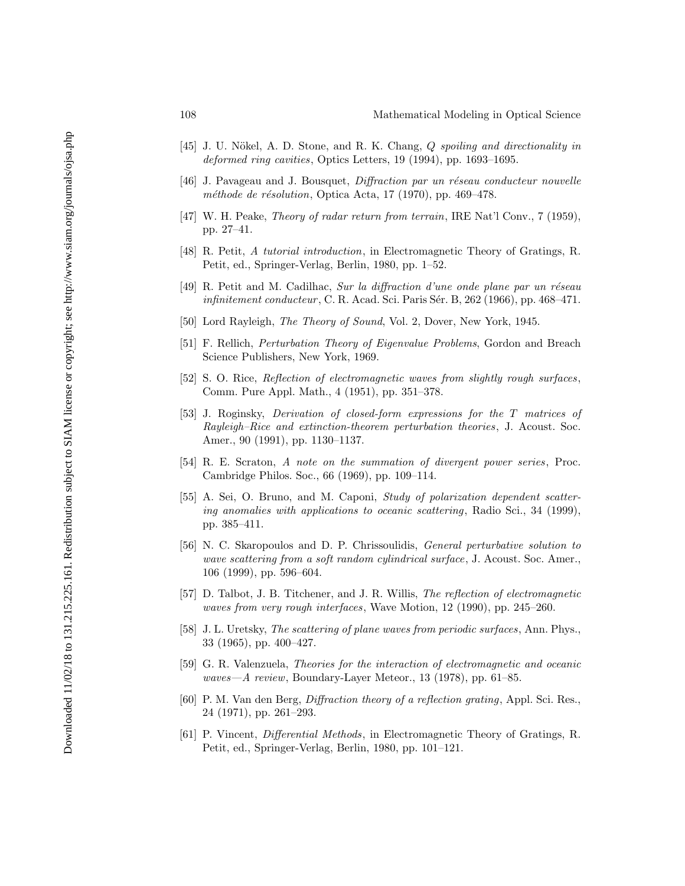- [45] J. U. Nökel, A. D. Stone, and R. K. Chang, Q spoiling and directionality in deformed ring cavities, Optics Letters, 19 (1994), pp. 1693–1695.
- $[46]$  J. Pavageau and J. Bousquet, Diffraction par un réseau conducteur nouvelle méthode de résolution, Optica Acta, 17 (1970), pp. 469–478.
- [47] W. H. Peake, Theory of radar return from terrain, IRE Nat'l Conv., 7 (1959), pp. 27–41.
- [48] R. Petit, A tutorial introduction, in Electromagnetic Theory of Gratings, R. Petit, ed., Springer-Verlag, Berlin, 1980, pp. 1–52.
- $[49]$  R. Petit and M. Cadilhac, *Sur la diffraction d'une onde plane par un réseau*  $infinitement\ conductor$ , C. R. Acad. Sci. Paris Sér. B, 262 (1966), pp. 468–471.
- [50] Lord Rayleigh, *The Theory of Sound*, Vol. 2, Dover, New York, 1945.
- [51] F. Rellich, Perturbation Theory of Eigenvalue Problems, Gordon and Breach Science Publishers, New York, 1969.
- [52] S. O. Rice, Reflection of electromagnetic waves from slightly rough surfaces, Comm. Pure Appl. Math., 4 (1951), pp. 351–378.
- [53] J. Roginsky, Derivation of closed-form expressions for the T matrices of Rayleigh–Rice and extinction-theorem perturbation theories, J. Acoust. Soc. Amer., 90 (1991), pp. 1130–1137.
- [54] R. E. Scraton, A note on the summation of divergent power series, Proc. Cambridge Philos. Soc., 66 (1969), pp. 109–114.
- [55] A. Sei, O. Bruno, and M. Caponi, Study of polarization dependent scattering anomalies with applications to oceanic scattering, Radio Sci., 34 (1999), pp. 385–411.
- [56] N. C. Skaropoulos and D. P. Chrissoulidis, General perturbative solution to wave scattering from a soft random cylindrical surface, J. Acoust. Soc. Amer., 106 (1999), pp. 596–604.
- [57] D. Talbot, J. B. Titchener, and J. R. Willis, The reflection of electromagnetic waves from very rough interfaces, Wave Motion, 12 (1990), pp. 245–260.
- [58] J. L. Uretsky, The scattering of plane waves from periodic surfaces, Ann. Phys., 33 (1965), pp. 400–427.
- [59] G. R. Valenzuela, Theories for the interaction of electromagnetic and oceanic waves—A review, Boundary-Layer Meteor., 13 (1978), pp. 61–85.
- [60] P. M. Van den Berg, Diffraction theory of a reflection grating, Appl. Sci. Res., 24 (1971), pp. 261–293.
- [61] P. Vincent, Differential Methods, in Electromagnetic Theory of Gratings, R. Petit, ed., Springer-Verlag, Berlin, 1980, pp. 101–121.